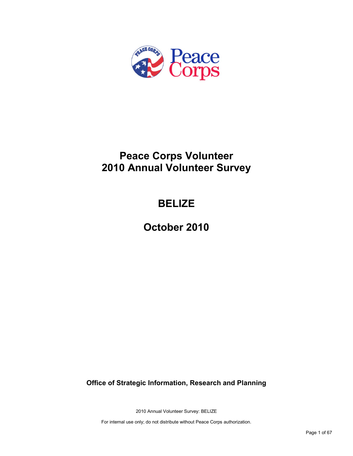

# **Peace Corps Volunteer 2010 Annual Volunteer Survey**

# **BELIZE**

**October 2010**

**Office of Strategic Information, Research and Planning**

2010 Annual Volunteer Survey: BELIZE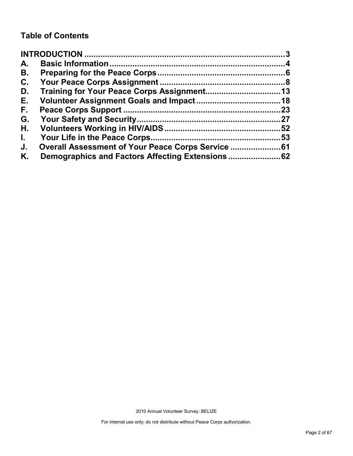### **Table of Contents**

| A.           |                                                |    |
|--------------|------------------------------------------------|----|
| В.           |                                                |    |
| C.           |                                                |    |
| D.           |                                                |    |
| Е.           |                                                |    |
| F.,          |                                                | 23 |
| G.           |                                                |    |
| Н.           |                                                |    |
| $\mathbf{L}$ |                                                |    |
| J.           | Overall Assessment of Your Peace Corps Service |    |
| Κ.           |                                                |    |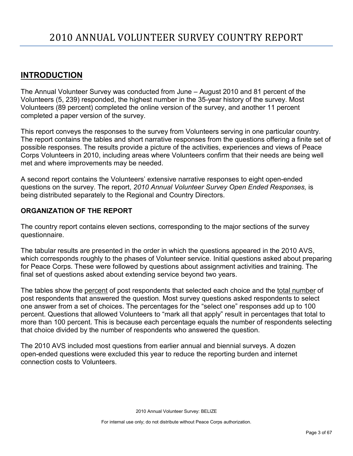### <span id="page-2-0"></span>**INTRODUCTION**

The Annual Volunteer Survey was conducted from June – August 2010 and 81 percent of the Volunteers (5, 239) responded, the highest number in the 35-year history of the survey. Most Volunteers (89 percent) completed the online version of the survey, and another 11 percent completed a paper version of the survey.

This report conveys the responses to the survey from Volunteers serving in one particular country. The report contains the tables and short narrative responses from the questions offering a finite set of possible responses. The results provide a picture of the activities, experiences and views of Peace Corps Volunteers in 2010, including areas where Volunteers confirm that their needs are being well met and where improvements may be needed.

A second report contains the Volunteers' extensive narrative responses to eight open-ended questions on the survey. The report, *2010 Annual Volunteer Survey Open Ended Responses,* is being distributed separately to the Regional and Country Directors.

### **ORGANIZATION OF THE REPORT**

The country report contains eleven sections, corresponding to the major sections of the survey questionnaire.

The tabular results are presented in the order in which the questions appeared in the 2010 AVS, which corresponds roughly to the phases of Volunteer service. Initial questions asked about preparing for Peace Corps. These were followed by questions about assignment activities and training. The final set of questions asked about extending service beyond two years.

The tables show the percent of post respondents that selected each choice and the total number of post respondents that answered the question. Most survey questions asked respondents to select one answer from a set of choices. The percentages for the "select one" responses add up to 100 percent. Questions that allowed Volunteers to "mark all that apply" result in percentages that total to more than 100 percent. This is because each percentage equals the number of respondents selecting that choice divided by the number of respondents who answered the question.

The 2010 AVS included most questions from earlier annual and biennial surveys. A dozen open-ended questions were excluded this year to reduce the reporting burden and internet connection costs to Volunteers.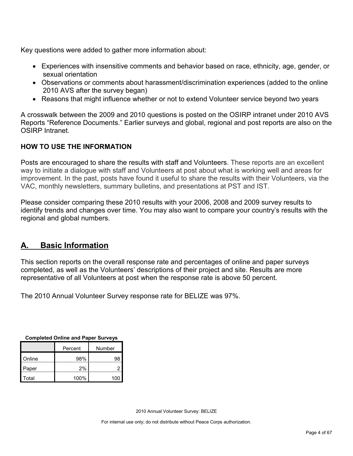Key questions were added to gather more information about:

- Experiences with insensitive comments and behavior based on race, ethnicity, age, gender, or sexual orientation
- Observations or comments about harassment/discrimination experiences (added to the online 2010 AVS after the survey began)
- Reasons that might influence whether or not to extend Volunteer service beyond two years

A crosswalk between the 2009 and 2010 questions is posted on the OSIRP intranet under 2010 AVS Reports "Reference Documents." Earlier surveys and global, regional and post reports are also on the OSIRP Intranet.

### **HOW TO USE THE INFORMATION**

Posts are encouraged to share the results with staff and Volunteers. These reports are an excellent way to initiate a dialogue with staff and Volunteers at post about what is working well and areas for improvement. In the past, posts have found it useful to share the results with their Volunteers, via the VAC, monthly newsletters, summary bulletins, and presentations at PST and IST.

Please consider comparing these 2010 results with your 2006, 2008 and 2009 survey results to identify trends and changes over time. You may also want to compare your country's results with the regional and global numbers.

### <span id="page-3-0"></span>**A. Basic Information**

This section reports on the overall response rate and percentages of online and paper surveys completed, as well as the Volunteers' descriptions of their project and site. Results are more representative of all Volunteers at post when the response rate is above 50 percent.

The 2010 Annual Volunteer Survey response rate for BELIZE was 97%.

| <b>Completed Online and Paper Surveys</b> |
|-------------------------------------------|
|-------------------------------------------|

|        | Percent | Number |
|--------|---------|--------|
| Online | 98%     | 98     |
| Paper  | 2%      | 2      |
| Total  | 100%    |        |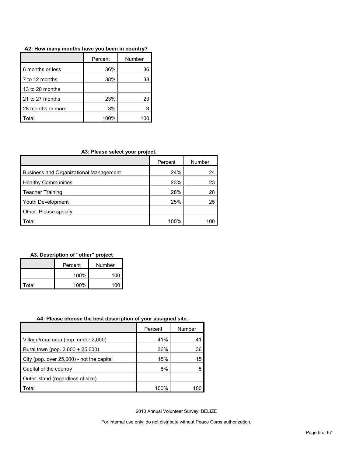| A2: How many months have you been in country? |  |
|-----------------------------------------------|--|
|-----------------------------------------------|--|

|                   | Number<br>Percent |    |
|-------------------|-------------------|----|
| 6 months or less  | 36%               | 36 |
| 7 to 12 months    | 38%               | 38 |
| 13 to 20 months   |                   |    |
| 21 to 27 months   | 23%               | 23 |
| 28 months or more | 3%                |    |
| ʻotal             | 100%              |    |

### **A3: Please select your project.**

|                                        | Percent | Number |
|----------------------------------------|---------|--------|
| Business and Organizational Management | 24%     | 24     |
| <b>Healthy Communities</b>             | 23%     | 23     |
| <b>Teacher Training</b>                | 28%     | 28     |
| Youth Development                      | 25%     | 25     |
| Other. Please specify                  |         |        |
| Total                                  | 100%    | 100    |

### **A3. Description of "other" project**

|       | Percent | Number |  |
|-------|---------|--------|--|
|       | 100%    | 100    |  |
| Total | 100%    | 100    |  |

#### **A4: Please choose the best description of your assigned site.**

|                                           | Percent | Number |
|-------------------------------------------|---------|--------|
| Village/rural area (pop. under 2,000)     | 41%     | 41     |
| Rural town (pop. 2,000 + 25,000)          | 36%     | 36     |
| City (pop. over 25,000) - not the capital | 15%     | 15     |
| Capital of the country                    | 8%      |        |
| Outer island (regardless of size)         |         |        |
| Total                                     | 100%    | 100    |

2010 Annual Volunteer Survey: BELIZE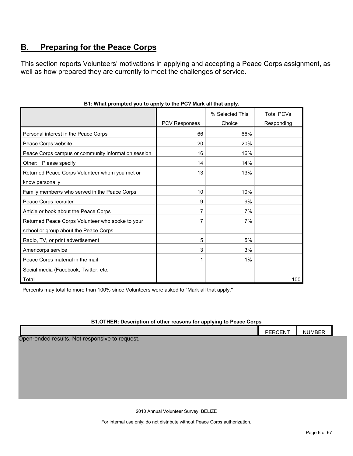### <span id="page-5-0"></span>**B. Preparing for the Peace Corps**

This section reports Volunteers' motivations in applying and accepting a Peace Corps assignment, as well as how prepared they are currently to meet the challenges of service.

|                                                     |                      | % Selected This | <b>Total PCVs</b> |
|-----------------------------------------------------|----------------------|-----------------|-------------------|
|                                                     | <b>PCV Responses</b> | Choice          | Responding        |
| Personal interest in the Peace Corps                | 66                   | 66%             |                   |
| Peace Corps website                                 | 20                   | 20%             |                   |
| Peace Corps campus or community information session | 16                   | 16%             |                   |
| Other: Please specify                               | 14                   | 14%             |                   |
| Returned Peace Corps Volunteer whom you met or      | 13                   | 13%             |                   |
| know personally                                     |                      |                 |                   |
| Family member/s who served in the Peace Corps       | 10                   | 10%             |                   |
| Peace Corps recruiter                               | 9                    | 9%              |                   |
| Article or book about the Peace Corps               | 7                    | 7%              |                   |
| Returned Peace Corps Volunteer who spoke to your    |                      | 7%              |                   |
| school or group about the Peace Corps               |                      |                 |                   |
| Radio, TV, or print advertisement                   | 5                    | 5%              |                   |
| Americorps service                                  | 3                    | 3%              |                   |
| Peace Corps material in the mail                    |                      | 1%              |                   |
| Social media (Facebook, Twitter, etc.               |                      |                 |                   |
| Total                                               |                      |                 | 100               |

#### **B1: What prompted you to apply to the PC? Mark all that apply.**

Percents may total to more than 100% since Volunteers were asked to "Mark all that apply."

#### **B1.OTHER: Description of other reasons for applying to Peace Corps**

|                                                                | DOCNIT<br>DE.<br>.⊢N '<br>-<br>110L11. | <b>NUMBER</b> |
|----------------------------------------------------------------|----------------------------------------|---------------|
| المقاربة ومراجع والمعرف المرواطين<br>Naturan contra to nominat |                                        |               |

Open-ended results. Not responsive to request.

2010 Annual Volunteer Survey: BELIZE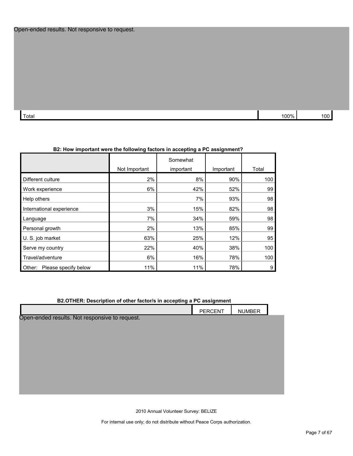| Total | $00\%$ | 100 |
|-------|--------|-----|

| B2: How important were the following factors in accepting a PC assignment? |               |                       |           |       |  |
|----------------------------------------------------------------------------|---------------|-----------------------|-----------|-------|--|
|                                                                            | Not Important | Somewhat<br>important | Important | Total |  |
| Different culture                                                          | 2%            | 8%                    | 90%       | 100   |  |
| Work experience                                                            | 6%            | 42%                   | 52%       | 99    |  |
| Help others                                                                |               | 7%                    | 93%       | 98    |  |
| International experience                                                   | 3%            | 15%                   | 82%       | 98    |  |
| Language                                                                   | 7%            | 34%                   | 59%       | 98    |  |
| Personal growth                                                            | 2%            | 13%                   | 85%       | 99    |  |
| U. S. job market                                                           | 63%           | 25%                   | 12%       | 95    |  |
| Serve my country                                                           | 22%           | 40%                   | 38%       | 100   |  |
| Travel/adventure                                                           | 6%            | 16%                   | 78%       | 100   |  |
| Please specify below<br>Other:                                             | 11%           | 11%                   | 78%       | 9     |  |

#### **B2: How important were the following factors in accepting a PC assignment?**

|  | B2.OTHER: Description of other factor/s in accepting a PC assignment |  |
|--|----------------------------------------------------------------------|--|
|--|----------------------------------------------------------------------|--|

|                                                | PERCENT | <b>NUMBER</b> |  |
|------------------------------------------------|---------|---------------|--|
| Open-ended results. Not responsive to request. |         |               |  |
|                                                |         |               |  |
|                                                |         |               |  |
|                                                |         |               |  |
|                                                |         |               |  |
|                                                |         |               |  |
|                                                |         |               |  |
|                                                |         |               |  |

2010 Annual Volunteer Survey: BELIZE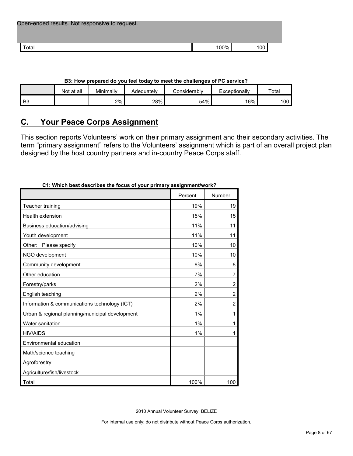| Open-ended results. Not responsive to request. |      |       |
|------------------------------------------------|------|-------|
| <sup>-</sup> otal                              | 100% | 100 l |

| <b>DO. HOW prepared UD YOU TEEL LOUGY TO HIGGL LITE CHAILERINGS OF FIG SERVICE</b> : |            |           |            |              |               |       |  |  |
|--------------------------------------------------------------------------------------|------------|-----------|------------|--------------|---------------|-------|--|--|
|                                                                                      | Not at all | Minimallv | Adeauatelv | Considerablv | Exceptionally | ⊤ota⊩ |  |  |
| B <sub>3</sub>                                                                       |            | 2%        | 28%        | 54%          | 16%           | 100   |  |  |

#### **B3: How prepared do you feel today to meet the challenges of PC service?**

### <span id="page-7-0"></span>**C. Your Peace Corps Assignment**

This section reports Volunteers' work on their primary assignment and their secondary activities. The term "primary assignment" refers to the Volunteers' assignment which is part of an overall project plan designed by the host country partners and in-country Peace Corps staff.

| $Jon$ because $J$                               | www.gunuvuu w |                |
|-------------------------------------------------|---------------|----------------|
|                                                 | Percent       | Number         |
| Teacher training                                | 19%           | 19             |
| <b>Health extension</b>                         | 15%           | 15             |
| Business education/advising                     | 11%           | 11             |
| Youth development                               | 11%           | 11             |
| Other: Please specify                           | 10%           | 10             |
| NGO development                                 | 10%           | 10             |
| Community development                           | 8%            | 8              |
| Other education                                 | 7%            | 7              |
| Forestry/parks                                  | 2%            | $\overline{c}$ |
| English teaching                                | 2%            | $\overline{2}$ |
| Information & communications technology (ICT)   | 2%            | $\overline{2}$ |
| Urban & regional planning/municipal development | 1%            | 1              |
| Water sanitation                                | 1%            | 1              |
| <b>HIV/AIDS</b>                                 | 1%            | 1              |
| Environmental education                         |               |                |
| Math/science teaching                           |               |                |
| Agroforestry                                    |               |                |
| Agriculture/fish/livestock                      |               |                |
| Total                                           | 100%          | 100            |

#### **C1: Which best describes the focus of your primary assignment/work?**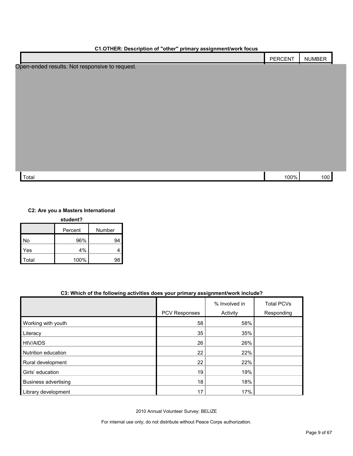| C1.OTHER: Description of "other" primary assignment/work focus |         |               |  |  |  |
|----------------------------------------------------------------|---------|---------------|--|--|--|
|                                                                | PERCENT | <b>NUMBER</b> |  |  |  |
| Open-ended results. Not responsive to request.                 |         |               |  |  |  |
|                                                                |         |               |  |  |  |
|                                                                |         |               |  |  |  |
|                                                                |         |               |  |  |  |
|                                                                |         |               |  |  |  |
|                                                                |         |               |  |  |  |
|                                                                |         |               |  |  |  |
|                                                                |         |               |  |  |  |
|                                                                |         |               |  |  |  |
|                                                                |         |               |  |  |  |
|                                                                |         |               |  |  |  |
|                                                                |         |               |  |  |  |
| Total                                                          | 100%    | 100           |  |  |  |

#### **C2: Are you a Masters International**

| student? |         |        |  |  |
|----------|---------|--------|--|--|
|          | Percent | Number |  |  |
| No       | 96%     | 94     |  |  |
| Yes      | 4%      |        |  |  |
| Total    | 100%    | 98     |  |  |

#### **C3: Which of the following activities does your primary assignment/work include?**

|                      | PCV Responses | % Involved in<br>Activity | <b>Total PCVs</b><br>Responding |
|----------------------|---------------|---------------------------|---------------------------------|
|                      |               |                           |                                 |
| Working with youth   | 58            | 58%                       |                                 |
| Literacy             | 35            | 35%                       |                                 |
| <b>HIV/AIDS</b>      | 26            | 26%                       |                                 |
| Nutrition education  | 22            | 22%                       |                                 |
| Rural development    | 22            | 22%                       |                                 |
| Girls' education     | 19            | 19%                       |                                 |
| Business advertising | 18            | 18%                       |                                 |
| Library development  | 17            | 17%                       |                                 |

2010 Annual Volunteer Survey: BELIZE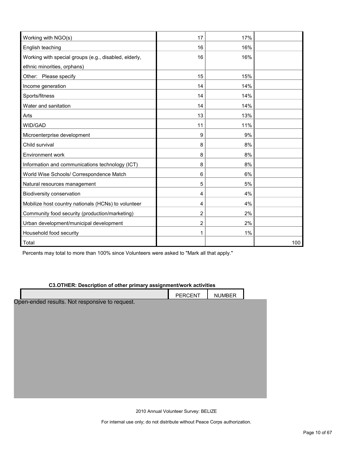| Working with NGO(s)                                   | 17 | 17% |     |
|-------------------------------------------------------|----|-----|-----|
| English teaching                                      | 16 | 16% |     |
| Working with special groups (e.g., disabled, elderly, | 16 | 16% |     |
| ethnic minorities, orphans)                           |    |     |     |
| Other: Please specify                                 | 15 | 15% |     |
| Income generation                                     | 14 | 14% |     |
| Sports/fitness                                        | 14 | 14% |     |
| Water and sanitation                                  | 14 | 14% |     |
| Arts                                                  | 13 | 13% |     |
| WID/GAD                                               | 11 | 11% |     |
| Microenterprise development                           | 9  | 9%  |     |
| Child survival                                        | 8  | 8%  |     |
| Environment work                                      | 8  | 8%  |     |
| Information and communications technology (ICT)       | 8  | 8%  |     |
| World Wise Schools/ Correspondence Match              | 6  | 6%  |     |
| Natural resources management                          | 5  | 5%  |     |
| Biodiversity conservation                             | 4  | 4%  |     |
| Mobilize host country nationals (HCNs) to volunteer   | 4  | 4%  |     |
| Community food security (production/marketing)        | 2  | 2%  |     |
| Urban development/municipal development               | 2  | 2%  |     |
| Household food security                               | 1  | 1%  |     |
| Total                                                 |    |     | 100 |

Percents may total to more than 100% since Volunteers were asked to "Mark all that apply."

#### **C3.OTHER: Description of other primary assignment/work activities**

|                                                | PERCENT | <b>NUMBER</b> |  |
|------------------------------------------------|---------|---------------|--|
| Open-ended results. Not responsive to request. |         |               |  |
|                                                |         |               |  |
|                                                |         |               |  |
|                                                |         |               |  |
|                                                |         |               |  |
|                                                |         |               |  |
|                                                |         |               |  |
|                                                |         |               |  |
|                                                |         |               |  |
|                                                |         |               |  |
|                                                |         |               |  |
|                                                |         |               |  |

2010 Annual Volunteer Survey: BELIZE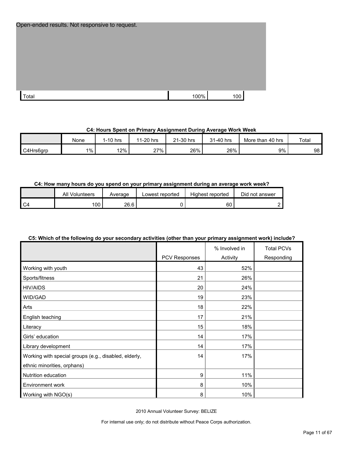| Open-ended results. Not responsive to request. |      |     |
|------------------------------------------------|------|-----|
|                                                |      |     |
|                                                |      |     |
|                                                |      |     |
| Total                                          | 100% | 100 |

#### **C4: Hours Spent on Primary Assignment During Average Work Week**

|           | None | 1-10 hrs | 1-20 hrs<br>44 | ∠1-30 hrs | 31-40 hrs | More than 40 hrs | Total |
|-----------|------|----------|----------------|-----------|-----------|------------------|-------|
| C4Hrs6arp | 1%   | 12%      | 27%            | 26%       | 26%       | 9%               | 98 I  |

#### **C4: How many hours do you spend on your primary assignment during an average work week?**

|      | All<br>Volunteers | Average | Lowest reported | Highest reported | Did not answer |
|------|-------------------|---------|-----------------|------------------|----------------|
| l C4 | 00                | 26.6    |                 | 60               |                |

#### **C5: Which of the following do your secondary activities (other than your primary assignment work) include?**

|                                                       | PCV Responses | % Involved in<br>Activity | <b>Total PCVs</b><br>Responding |
|-------------------------------------------------------|---------------|---------------------------|---------------------------------|
| Working with youth                                    | 43            | 52%                       |                                 |
| Sports/fitness                                        | 21            | 26%                       |                                 |
| <b>HIV/AIDS</b>                                       | 20            | 24%                       |                                 |
| WID/GAD                                               | 19            | 23%                       |                                 |
| Arts                                                  | 18            | 22%                       |                                 |
| English teaching                                      | 17            | 21%                       |                                 |
| Literacy                                              | 15            | 18%                       |                                 |
| Girls' education                                      | 14            | 17%                       |                                 |
| Library development                                   | 14            | 17%                       |                                 |
| Working with special groups (e.g., disabled, elderly, | 14            | 17%                       |                                 |
| ethnic minorities, orphans)                           |               |                           |                                 |
| Nutrition education                                   | 9             | 11%                       |                                 |
| Environment work                                      | 8             | 10%                       |                                 |
| Working with NGO(s)                                   | 8             | 10%                       |                                 |

2010 Annual Volunteer Survey: BELIZE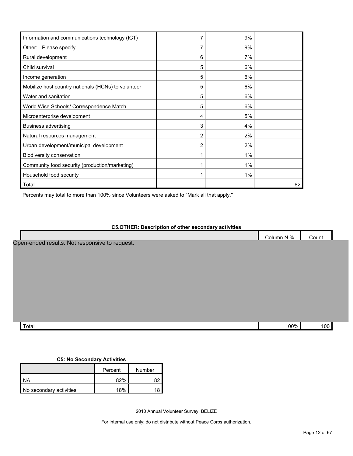| Information and communications technology (ICT)     |                | 9%    |    |
|-----------------------------------------------------|----------------|-------|----|
| Other: Please specify                               | 7              | 9%    |    |
| Rural development                                   | 6              | 7%    |    |
| Child survival                                      | 5              | 6%    |    |
| Income generation                                   | 5              | 6%    |    |
| Mobilize host country nationals (HCNs) to volunteer | 5              | 6%    |    |
| Water and sanitation                                | 5              | 6%    |    |
| World Wise Schools/ Correspondence Match            | 5              | 6%    |    |
| Microenterprise development                         | 4              | 5%    |    |
| Business advertising                                | 3              | 4%    |    |
| Natural resources management                        | $\overline{c}$ | 2%    |    |
| Urban development/municipal development             | 2              | 2%    |    |
| Biodiversity conservation                           |                | $1\%$ |    |
| Community food security (production/marketing)      |                | 1%    |    |
| Household food security                             |                | $1\%$ |    |
| Total                                               |                |       | 82 |

Percents may total to more than 100% since Volunteers were asked to "Mark all that apply."

#### **C5.OTHER: Description of other secondary activities**

| Column N %                                     | Count |  |
|------------------------------------------------|-------|--|
| Open-ended results. Not responsive to request. |       |  |
|                                                |       |  |
|                                                |       |  |
|                                                |       |  |
|                                                |       |  |
|                                                |       |  |
|                                                |       |  |
|                                                |       |  |
|                                                |       |  |
|                                                |       |  |
| Total<br>100%                                  | 100   |  |

#### **C5: No Secondary Activities**

|                         | Percent | Number |
|-------------------------|---------|--------|
| 1 NA                    | 82%     |        |
| No secondary activities | 18%     |        |

2010 Annual Volunteer Survey: BELIZE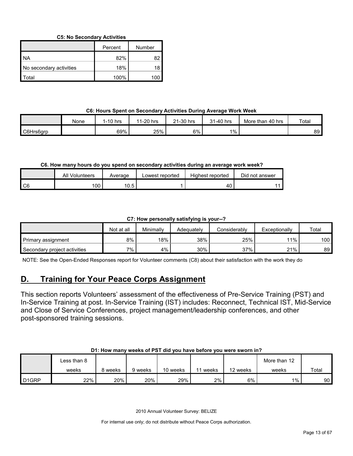#### **C5: No Secondary Activities**

|                         | Percent | Number |
|-------------------------|---------|--------|
| I NA                    | 82%     | 82     |
| No secondary activities | 18%     | 18     |
| l Total                 | 100%    | 100    |

#### **C6: Hours Spent on Secondary Activities During Average Work Week**

|           | None | $I-10$ hrs | 1-20 hrs<br>44 | ∠1-30 hrs | 31-40 hrs | More than<br>⊦40 hrs | Total |
|-----------|------|------------|----------------|-----------|-----------|----------------------|-------|
| C6Hrs6grp |      | 69%        | 25%            | 6%        | 1%        |                      | 89    |

#### **C6. How many hours do you spend on secondary activities during an average work week?**

|                | All<br>Volunteers | Average | Lowest reported | Highest reported | Did not answer |
|----------------|-------------------|---------|-----------------|------------------|----------------|
| C <sub>6</sub> | 100               | 10.5    |                 | 40               |                |

#### **C7: How personally satisfying is your--?**

|                              | Not at all | Minimally | Adeauatelv | Considerablv | Exceptionally | Total            |
|------------------------------|------------|-----------|------------|--------------|---------------|------------------|
| Primary assignment           | 8%         | 18%       | 38%        | 25%          | $11\%$        | 100 <sub>l</sub> |
| Secondary project activities | 7%.        | 4%        | 30%        | 37%          | 21%           | 89 I             |

NOTE: See the Open-Ended Responses report for Volunteer comments (C8) about their satisfaction with the work they do

### <span id="page-12-0"></span>**D. Training for Your Peace Corps Assignment**

This section reports Volunteers' assessment of the effectiveness of Pre-Service Training (PST) and In-Service Training at post. In-Service Training (IST) includes: Reconnect, Technical IST, Mid-Service and Close of Service Conferences, project management/leadership conferences, and other post-sponsored training sessions.

#### **D1: How many weeks of PST did you have before you were sworn in?**

|                   | ∟ess than 8 |       |         |          |       |          | More than 12 |       |
|-------------------|-------------|-------|---------|----------|-------|----------|--------------|-------|
|                   | weeks       | weeks | 9 weeks | 10 weeks | weeks | 12 weeks | weeks        | Total |
| D <sub>1GRP</sub> | 22%         | 20%   | 20%     | 29%      | $2\%$ | 6%       | $1\%$        | 90    |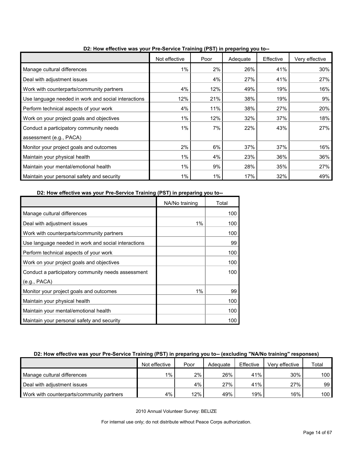|                                                     | Not effective | Poor | <u>ar - 1 metama 1</u><br>Adequate | Effective | Very effective |
|-----------------------------------------------------|---------------|------|------------------------------------|-----------|----------------|
| Manage cultural differences                         | $1\%$         | 2%   | 26%                                | 41%       | 30%            |
| Deal with adjustment issues                         |               | 4%   | 27%                                | 41%       | 27%            |
| Work with counterparts/community partners           | 4%            | 12%  | 49%                                | 19%       | 16%            |
| Use language needed in work and social interactions | 12%           | 21%  | 38%                                | 19%       | 9%             |
| Perform technical aspects of your work              | 4%            | 11%  | 38%                                | 27%       | 20%            |
| Work on your project goals and objectives           | $1\%$         | 12%  | 32%                                | 37%       | 18%            |
| Conduct a participatory community needs             | $1\%$         | 7%   | 22%                                | 43%       | 27%            |
| assessment (e.g., PACA)                             |               |      |                                    |           |                |
| Monitor your project goals and outcomes             | 2%            | 6%   | 37%                                | 37%       | 16%            |
| Maintain your physical health                       | $1\%$         | 4%   | 23%                                | 36%       | 36%            |
| Maintain your mental/emotional health               | $1\%$         | 9%   | 28%                                | 35%       | 27%            |
| Maintain your personal safety and security          | 1%            | 1%   | 17%                                | 32%       | 49%            |

**D2: How effective was your Pre-Service Training (PST) in preparing you to--**

**D2: How effective was your Pre-Service Training (PST) in preparing you to--**

|                                                     | NA/No training | Total |
|-----------------------------------------------------|----------------|-------|
| Manage cultural differences                         |                | 100   |
| Deal with adjustment issues                         | 1%             | 100   |
| Work with counterparts/community partners           |                | 100   |
| Use language needed in work and social interactions |                | 99    |
| Perform technical aspects of your work              |                | 100   |
| Work on your project goals and objectives           |                | 100   |
| Conduct a participatory community needs assessment  |                | 100   |
| (e.g., PACA)                                        |                |       |
| Monitor your project goals and outcomes             | $1\%$          | 99    |
| Maintain your physical health                       |                | 100   |
| Maintain your mental/emotional health               |                | 100   |
| Maintain your personal safety and security          |                | 100   |

#### **D2: How effective was your Pre-Service Training (PST) in preparing you to-- (excluding "NA/No training" responses)**

|                                           | Not effective | Poor | Adequate | Effective | Very effective | Total            |
|-------------------------------------------|---------------|------|----------|-----------|----------------|------------------|
| Manage cultural differences               | 1%            | 2%   | 26%      | 41%       | 30%            | 100 <sub>l</sub> |
| Deal with adjustment issues               |               | 4%   | 27%      | 41%       | 27%            | 99               |
| Work with counterparts/community partners | 4%            | 12%  | 49%      | 19%       | 16%            | 100 <sub>l</sub> |

2010 Annual Volunteer Survey: BELIZE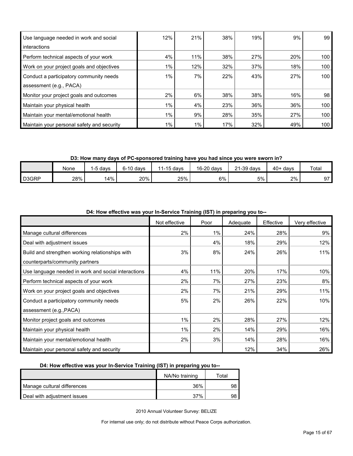| Use language needed in work and social     | 12%   | 21%   | 38% | 19% | 9%  | 99               |
|--------------------------------------------|-------|-------|-----|-----|-----|------------------|
| interactions                               |       |       |     |     |     |                  |
| Perform technical aspects of your work     | 4%    | 11%   | 38% | 27% | 20% | 100              |
| Work on your project goals and objectives  | $1\%$ | 12%   | 32% | 37% | 18% | 100              |
| Conduct a participatory community needs    | $1\%$ | 7%    | 22% | 43% | 27% | 100 <sub>l</sub> |
| assessment (e.g., PACA)                    |       |       |     |     |     |                  |
| Monitor your project goals and outcomes    | $2\%$ | 6%    | 38% | 38% | 16% | 98               |
| Maintain your physical health              | $1\%$ | 4%    | 23% | 36% | 36% | 100              |
| Maintain your mental/emotional health      | $1\%$ | 9%    | 28% | 35% | 27% | 100              |
| Maintain your personal safety and security | $1\%$ | $1\%$ | 17% | 32% | 49% | 100              |

**D3: How many days of PC-sponsored training have you had since you were sworn in?**

|       | None | 5 days | $6-10$ days | 1-15 davs | 16-20 days | 21-39 days | $40+$ days | Total |
|-------|------|--------|-------------|-----------|------------|------------|------------|-------|
| D3GRP | 28%  | 4%ا    | 20%         | 25%       | 6%         | 5%         | 2%         | 97    |

| 2. How onoon't had your in corrico rranning (io i ) in proparing you to |               |       |          |           |                |  |  |  |  |  |
|-------------------------------------------------------------------------|---------------|-------|----------|-----------|----------------|--|--|--|--|--|
|                                                                         | Not effective | Poor  | Adequate | Effective | Very effective |  |  |  |  |  |
| Manage cultural differences                                             | 2%            | $1\%$ | 24%      | 28%       | 9%             |  |  |  |  |  |
| Deal with adjustment issues                                             |               | 4%    | 18%      | 29%       | 12%            |  |  |  |  |  |
| Build and strengthen working relationships with                         | 3%            | 8%    | 24%      | 26%       | 11%            |  |  |  |  |  |
| counterparts/community partners                                         |               |       |          |           |                |  |  |  |  |  |
| Use language needed in work and social interactions                     | 4%            | 11%   | 20%      | 17%       | 10%            |  |  |  |  |  |
| Perform technical aspects of your work                                  | 2%            | 7%    | 27%      | 23%       | 8%             |  |  |  |  |  |
| Work on your project goals and objectives                               | 2%            | 7%    | 21%      | 29%       | 11%            |  |  |  |  |  |
| Conduct a participatory community needs                                 | 5%            | 2%    | 26%      | 22%       | 10%            |  |  |  |  |  |
| assessment (e.g., PACA)                                                 |               |       |          |           |                |  |  |  |  |  |
| Monitor project goals and outcomes                                      | $1\%$         | 2%    | 28%      | 27%       | 12%            |  |  |  |  |  |
| Maintain your physical health                                           | $1\%$         | 2%    | 14%      | 29%       | 16%            |  |  |  |  |  |
| Maintain your mental/emotional health                                   | 2%            | 3%    | 14%      | 28%       | 16%            |  |  |  |  |  |
| Maintain your personal safety and security                              |               |       | 12%      | 34%       | 26%            |  |  |  |  |  |

**D4: How effective was your In-Service Training (IST) in preparing you to--**

#### **D4: How effective was your In-Service Training (IST) in preparing you to--**

|                             | NA/No training | ™otal |
|-----------------------------|----------------|-------|
| Manage cultural differences | 36%            |       |
| Deal with adjustment issues | 37%            | 98.   |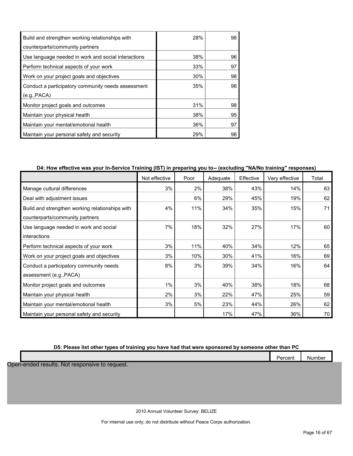| Build and strengthen working relationships with     | 28% | 98 |
|-----------------------------------------------------|-----|----|
| counterparts/community partners                     |     |    |
| Use language needed in work and social interactions | 38% | 96 |
| Perform technical aspects of your work              | 33% | 97 |
| Work on your project goals and objectives           | 30% | 98 |
| Conduct a participatory community needs assessment  | 35% | 98 |
| (e.g., PACA)                                        |     |    |
| Monitor project goals and outcomes                  | 31% | 98 |
| Maintain your physical health                       | 38% | 95 |
| Maintain your mental/emotional health               | 36% | 97 |
| Maintain your personal safety and security          | 29% | 98 |

#### **D4: How effective was your In-Service Training (IST) in preparing you to-- (excluding "NA/No training" responses)**

|                                                 | Not effective | Poor | Adequate | Effective | Very effective | Total |
|-------------------------------------------------|---------------|------|----------|-----------|----------------|-------|
| Manage cultural differences                     | 3%            | 2%   | 38%      | 43%       | 14%            | 63    |
| Deal with adjustment issues                     |               | 6%   | 29%      | 45%       | 19%            | 62    |
| Build and strengthen working relationships with | 4%            | 11%  | 34%      | 35%       | 15%            | 71    |
| counterparts/community partners                 |               |      |          |           |                |       |
| Use language needed in work and social          | 7%            | 18%  | 32%      | 27%       | 17%            | 60    |
| interactions                                    |               |      |          |           |                |       |
| Perform technical aspects of your work          | 3%            | 11%  | 40%      | 34%       | 12%            | 65    |
| Work on your project goals and objectives       | 3%            | 10%  | 30%      | 41%       | 16%            | 69    |
| Conduct a participatory community needs         | 8%            | 3%   | 39%      | 34%       | 16%            | 64    |
| assessment (e.g., PACA)                         |               |      |          |           |                |       |
| Monitor project goals and outcomes              | 1%            | 3%   | 40%      | 38%       | 18%            | 68    |
| Maintain your physical health                   | 2%            | 3%   | 22%      | 47%       | 25%            | 59    |
| Maintain your mental/emotional health           | 3%            | 5%   | 23%      | 44%       | 26%            | 62    |
| Maintain your personal safety and security      |               |      | 17%      | 47%       | 36%            | 70    |

#### **D5: Please list other types of training you have had that were sponsored by someone other than PC**

|   | Percent | Number |
|---|---------|--------|
| . |         |        |

Open-ended results. Not responsive to request.

2010 Annual Volunteer Survey: BELIZE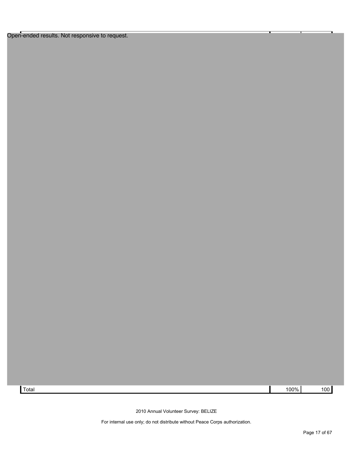Open-ended results. Not responsive to request.



2010 Annual Volunteer Survey: BELIZE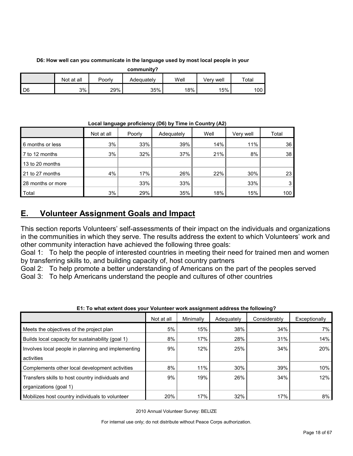#### **D6: How well can you communicate in the language used by most local people in your**

| community? |            |        |            |      |           |             |  |  |  |  |
|------------|------------|--------|------------|------|-----------|-------------|--|--|--|--|
|            | Not at all | Poorly | Adequately | Well | Verv well | $\tau$ otal |  |  |  |  |
| D6         | 3%         | 29%    | 35%        | 18%  | $15\%$    | 100         |  |  |  |  |

**Local language proficiency (D6) by Time in Country (A2)**

|                   | Not at all | Poorly | Adequately | Well | Very well | Total |
|-------------------|------------|--------|------------|------|-----------|-------|
| 6 months or less  | 3%         | 33%    | 39%        | 14%  | 11%       | 36    |
| 7 to 12 months    | 3%         | 32%    | 37%        | 21%  | 8%        | 38    |
| 13 to 20 months   |            |        |            |      |           |       |
| 21 to 27 months   | 4%         | 17%    | 26%        | 22%  | 30%       | 23    |
| 28 months or more |            | 33%    | 33%        |      | 33%       | 3     |
| Total             | 3%         | 29%    | 35%        | 18%  | 15%       | 100   |

### <span id="page-17-0"></span>**E. Volunteer Assignment Goals and Impact**

This section reports Volunteers' self-assessments of their impact on the individuals and organizations in the communities in which they serve. The results address the extent to which Volunteers' work and other community interaction have achieved the following three goals:

Goal 1: To help the people of interested countries in meeting their need for trained men and women by transferring skills to, and building capacity of, host country partners

Goal 2: To help promote a better understanding of Americans on the part of the peoples served

Goal 3: To help Americans understand the people and cultures of other countries

|                                                    | Not at all | Minimally | Adequately | Considerably | Exceptionally |
|----------------------------------------------------|------------|-----------|------------|--------------|---------------|
| Meets the objectives of the project plan           | 5%         | 15%       | 38%        | 34%          | 7%            |
| Builds local capacity for sustainability (goal 1)  | 8%         | 17%       | 28%        | 31%          | 14%           |
| Involves local people in planning and implementing | 9%         | 12%       | 25%        | 34%          | 20%           |
| activities                                         |            |           |            |              |               |
| Complements other local development activities     | 8%         | 11%       | 30%        | 39%          | 10%           |
| Transfers skills to host country individuals and   | 9%         | 19%       | 26%        | 34%          | 12%           |
| organizations (goal 1)                             |            |           |            |              |               |
| Mobilizes host country individuals to volunteer    | 20%        | 17%       | 32%        | 17%          | 8%            |

#### **E1: To what extent does your Volunteer work assignment address the following?**

2010 Annual Volunteer Survey: BELIZE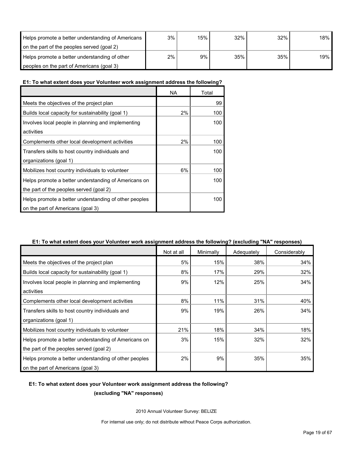| Helps promote a better understanding of Americans | 3% | 15% | 32% | 32% | 18% |
|---------------------------------------------------|----|-----|-----|-----|-----|
| on the part of the peoples served (goal 2)        |    |     |     |     |     |
| Helps promote a better understanding of other     | 2% | 9%  | 35% | 35% | 19% |
| peoples on the part of Americans (goal 3)         |    |     |     |     |     |

#### **E1: To what extent does your Volunteer work assignment address the following?**

|                                                       | NA | Total |
|-------------------------------------------------------|----|-------|
| Meets the objectives of the project plan              |    | 99    |
| Builds local capacity for sustainability (goal 1)     | 2% | 100   |
| Involves local people in planning and implementing    |    | 100   |
| activities                                            |    |       |
| Complements other local development activities        | 2% | 100   |
| Transfers skills to host country individuals and      |    | 100   |
| organizations (goal 1)                                |    |       |
| Mobilizes host country individuals to volunteer       | 6% | 100   |
| Helps promote a better understanding of Americans on  |    | 100   |
| the part of the peoples served (goal 2)               |    |       |
| Helps promote a better understanding of other peoples |    | 100   |
| on the part of Americans (goal 3)                     |    |       |

#### **E1: To what extent does your Volunteer work assignment address the following? (excluding "NA" responses)**

|                                                       | Not at all | Minimally | Adequately | Considerably |
|-------------------------------------------------------|------------|-----------|------------|--------------|
| Meets the objectives of the project plan              | 5%         | 15%       | 38%        | 34%          |
| Builds local capacity for sustainability (goal 1)     | 8%         | 17%       | 29%        | 32%          |
| Involves local people in planning and implementing    | 9%         | 12%       | 25%        | 34%          |
| activities                                            |            |           |            |              |
| Complements other local development activities        | 8%         | 11%       | 31%        | 40%          |
| Transfers skills to host country individuals and      | 9%         | 19%       | 26%        | 34%          |
| organizations (goal 1)                                |            |           |            |              |
| Mobilizes host country individuals to volunteer       | 21%        | 18%       | 34%        | 18%          |
| Helps promote a better understanding of Americans on  | 3%         | 15%       | 32%        | 32%          |
| the part of the peoples served (goal 2)               |            |           |            |              |
| Helps promote a better understanding of other peoples | 2%         | 9%        | 35%        | 35%          |
| on the part of Americans (goal 3)                     |            |           |            |              |

### **E1: To what extent does your Volunteer work assignment address the following?**

**(excluding "NA" responses)**

2010 Annual Volunteer Survey: BELIZE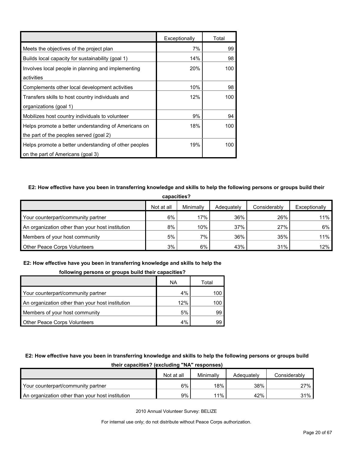|                                                       | Exceptionally | Total |
|-------------------------------------------------------|---------------|-------|
| Meets the objectives of the project plan              | 7%            | 99    |
| Builds local capacity for sustainability (goal 1)     | 14%           | 98    |
| Involves local people in planning and implementing    | 20%           | 100   |
| activities                                            |               |       |
| Complements other local development activities        | 10%           | 98    |
| Transfers skills to host country individuals and      | 12%           | 100   |
| organizations (goal 1)                                |               |       |
| Mobilizes host country individuals to volunteer       | 9%            | 94    |
| Helps promote a better understanding of Americans on  | 18%           | 100   |
| the part of the peoples served (goal 2)               |               |       |
| Helps promote a better understanding of other peoples | 19%           | 100   |
| on the part of Americans (goal 3)                     |               |       |

#### **E2: How effective have you been in transferring knowledge and skills to help the following persons or groups build their**

| capacities?                                      |            |           |            |              |               |  |  |
|--------------------------------------------------|------------|-----------|------------|--------------|---------------|--|--|
|                                                  | Not at all | Minimally | Adequately | Considerably | Exceptionally |  |  |
| Your counterpart/community partner               | 6%         | 17%       | 36%        | 26%          | 11%           |  |  |
| An organization other than your host institution | 8%         | 10%       | 37%        | 27%          | 6%            |  |  |
| Members of your host community                   | 5%         | 7%        | 36%        | 35%          | 11%           |  |  |
| <b>Other Peace Corps Volunteers</b>              | 3%         | 6%        | 43%        | 31%          | 12%           |  |  |

### **E2: How effective have you been in transferring knowledge and skills to help the**

#### **following persons or groups build their capacities?**

|                                                  | ΝA  | Total |
|--------------------------------------------------|-----|-------|
| Your counterpart/community partner               | 4%  | 100   |
| An organization other than your host institution | 12% | 100   |
| Members of your host community                   | 5%  | 99    |
| <b>Other Peace Corps Volunteers</b>              | 4%  | 99    |

#### **E2: How effective have you been in transferring knowledge and skills to help the following persons or groups build**

| ultii capacititos: Italiuming INA Tesponstesi    |            |           |            |              |  |  |
|--------------------------------------------------|------------|-----------|------------|--------------|--|--|
|                                                  | Not at all | Minimally | Adequately | Considerably |  |  |
| Your counterpart/community partner               | 6%         | $18\%$    | 38%        | 27%          |  |  |
| An organization other than your host institution | 9%         | $11\%$    | 42%        | 31%          |  |  |

**their capacities? (excluding "NA" responses)**

2010 Annual Volunteer Survey: BELIZE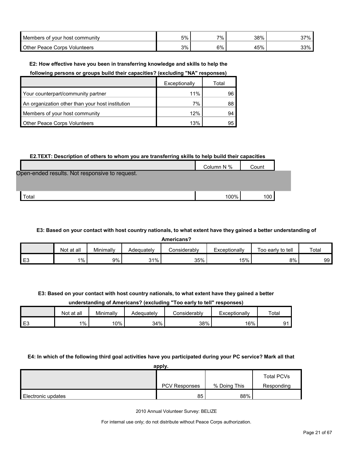| Members of your host community | 5% | 7% | 38% | २7%<br>ິ |
|--------------------------------|----|----|-----|----------|
| Other Peace Corps Volunteers   | 3% | 6% | 45% | 33%      |

#### **E2: How effective have you been in transferring knowledge and skills to help the**

**following persons or groups build their capacities? (excluding "NA" responses)**

|                                                  | Exceptionally | Total |
|--------------------------------------------------|---------------|-------|
| Your counterpart/community partner               | 11%           | 96    |
| An organization other than your host institution | 7%            | 88    |
| Members of your host community                   | 12%           | 94    |
| <b>Other Peace Corps Volunteers</b>              | 13%           | 95    |

#### **E2.TEXT: Description of others to whom you are transferring skills to help build their capacities**

|                                                | Column N % | Count            |  |
|------------------------------------------------|------------|------------------|--|
| Open-ended results. Not responsive to request. |            |                  |  |
|                                                |            |                  |  |
| Total                                          | 100%       | 100 <sub>l</sub> |  |

#### **E3: Based on your contact with host country nationals, to what extent have they gained a better understanding of**

**Americans?**

|    | at all<br>Not | Minimally | Adequately | onsiderablyٽ | Exceptionally | Too early to tell | Total |
|----|---------------|-----------|------------|--------------|---------------|-------------------|-------|
| E3 | $1\%$         | 9%        | 31%        | 35%          | 15%           | 8%                | 99    |

**E3: Based on your contact with host country nationals, to what extent have they gained a better** 

#### **understanding of Americans? (excluding "Too early to tell" responses)**

|      | Not at all | Minimally | Adeauatelv | Considerabl∨ | Exceptionally | Total |
|------|------------|-----------|------------|--------------|---------------|-------|
| l E3 | 1%         | 10%       | 34%        | 38%          | 16%           | n٠    |

#### **E4: In which of the following third goal activities have you participated during your PC service? Mark all that**

|                    | apply.               |              |                   |
|--------------------|----------------------|--------------|-------------------|
|                    |                      |              | <b>Total PCVs</b> |
|                    | <b>PCV Responses</b> | % Doing This | Responding        |
| Electronic updates | 85                   | 88%          |                   |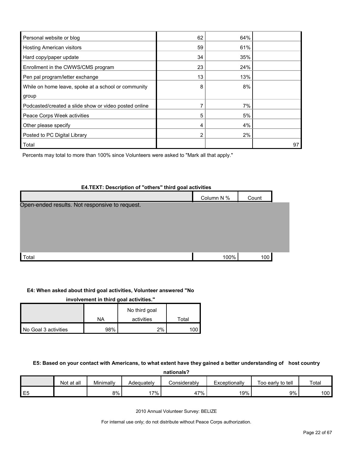| Personal website or blog                              | 62 | 64% |    |
|-------------------------------------------------------|----|-----|----|
| <b>Hosting American visitors</b>                      | 59 | 61% |    |
| Hard copy/paper update                                | 34 | 35% |    |
| Enrollment in the CWWS/CMS program                    | 23 | 24% |    |
| Pen pal program/letter exchange                       | 13 | 13% |    |
| While on home leave, spoke at a school or community   | 8  | 8%  |    |
| group                                                 |    |     |    |
| Podcasted/created a slide show or video posted online |    | 7%  |    |
| Peace Corps Week activities                           | 5  | 5%  |    |
| Other please specify                                  | 4  | 4%  |    |
| Posted to PC Digital Library                          | 2  | 2%  |    |
| Total                                                 |    |     | 97 |

Percents may total to more than 100% since Volunteers were asked to "Mark all that apply."

#### **E4.TEXT: Description of "others" third goal activities**

|                                                | Column N % | Count |  |
|------------------------------------------------|------------|-------|--|
| Open-ended results. Not responsive to request. |            |       |  |
|                                                |            |       |  |
|                                                |            |       |  |
|                                                |            |       |  |
|                                                |            |       |  |
| Total                                          | 100%       | 100   |  |

#### **E4: When asked about third goal activities, Volunteer answered "No**

| involvement in third goal activities." |     |               |       |  |  |  |  |
|----------------------------------------|-----|---------------|-------|--|--|--|--|
|                                        |     | No third goal |       |  |  |  |  |
|                                        | NA  | activities    | Total |  |  |  |  |
| No Goal 3 activities                   | 98% | 2%            |       |  |  |  |  |

#### **E5: Based on your contact with Americans, to what extent have they gained a better understanding of host country**

| nationals?     |            |           |            |              |               |                   |       |
|----------------|------------|-----------|------------|--------------|---------------|-------------------|-------|
|                | Not at all | Minimally | Adequately | Considerablv | Exceptionally | Too early to tell | Total |
| E <sub>5</sub> |            | 8%        | 17%        | 47%          | 19%           | 9%                | 100   |

2010 Annual Volunteer Survey: BELIZE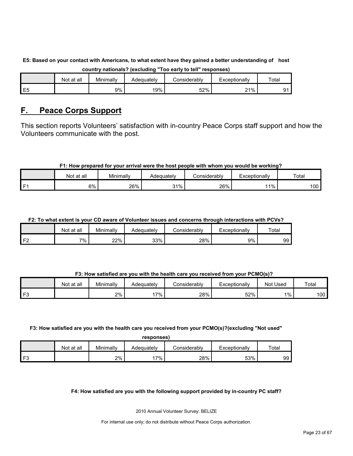|                | ---------<br>-------------<br>------------<br>---------<br>--------<br>----------- |           |            |              |               |       |  |  |  |  |
|----------------|------------------------------------------------------------------------------------|-----------|------------|--------------|---------------|-------|--|--|--|--|
|                | Not at all                                                                         | Minimally | Adequatelv | :onsiderablv | Exceptionally | Total |  |  |  |  |
| E <sub>5</sub> |                                                                                    | 9%        | 19%        | 52%          | 21%           |       |  |  |  |  |

### **E5: Based on your contact with Americans, to what extent have they gained a better understanding of host country nationals? (excluding "Too early to tell" responses)**

### <span id="page-22-0"></span>**F. Peace Corps Support**

This section reports Volunteers' satisfaction with in-country Peace Corps staff support and how the Volunteers communicate with the post.

### **F1: How prepared for your arrival were the host people with whom you would be working?**

|      | Not at all | Minimally | Adequatelv | Considerably | Exceptionally | Total |
|------|------------|-----------|------------|--------------|---------------|-------|
| l F1 | 6%         | 26%       | 31%        | 26%          | 11%           | 100   |

### **F2: To what extent is your CD aware of Volunteer issues and concerns through interactions with PCVs?**

|                | Not at all | Minimally | Adequatelv | `onsiderablv | Exceptionally | Total |
|----------------|------------|-----------|------------|--------------|---------------|-------|
| F <sub>2</sub> | 7%         | 22%       | 33%        | 28%          | 9%            | 99    |

#### **F3: How satisfied are you with the health care you received from your PCMO(s)?**

|    | Not at all | $\cdots$<br>Minimally | Adequately | こonsiderably | Exceptionally | <b>Not Used</b> | Total |
|----|------------|-----------------------|------------|--------------|---------------|-----------------|-------|
| F3 |            | 2%                    | $17\%$     | 28%          | 52%           | $1\%$           | 100   |

#### **F3: How satisfied are you with the health care you received from your PCMO(s)?(excluding "Not used" responses)**

| <b>Tesponses</b> |            |           |            |                     |               |       |  |  |  |
|------------------|------------|-----------|------------|---------------------|---------------|-------|--|--|--|
|                  | Not at all | Minimally | Adeauatelv | <b>Considerably</b> | Exceptionally | Total |  |  |  |
| ЕP               |            | 2%        | 7%         | 28%                 | 53%           | 99    |  |  |  |

#### **F4: How satisfied are you with the following support provided by in-country PC staff?**

2010 Annual Volunteer Survey: BELIZE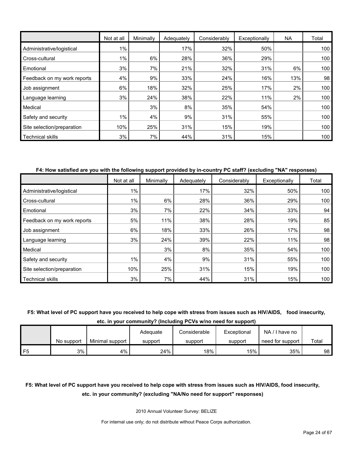|                             | Not at all | Minimally | Adequately | Considerably | Exceptionally | <b>NA</b> | Total |
|-----------------------------|------------|-----------|------------|--------------|---------------|-----------|-------|
| Administrative/logistical   | 1%         |           | 17%        | 32%          | 50%           |           | 100   |
| Cross-cultural              | $1\%$      | 6%        | 28%        | 36%          | 29%           |           | 100   |
| Emotional                   | 3%         | 7%        | 21%        | 32%          | 31%           | 6%        | 100   |
| Feedback on my work reports | 4%         | 9%        | 33%        | 24%          | 16%           | 13%       | 98    |
| Job assignment              | 6%         | 18%       | 32%        | 25%          | 17%           | 2%        | 100   |
| Language learning           | 3%         | 24%       | 38%        | 22%          | 11%           | 2%        | 100   |
| Medical                     |            | 3%        | 8%         | 35%          | 54%           |           | 100   |
| Safety and security         | 1%         | 4%        | 9%         | 31%          | 55%           |           | 100   |
| Site selection/preparation  | 10%        | 25%       | 31%        | 15%          | 19%           |           | 100   |
| <b>Technical skills</b>     | 3%         | 7%        | 44%        | 31%          | 15%           |           | 100   |

#### **F4: How satisfied are you with the following support provided by in-country PC staff? (excluding "NA" responses)**

|                             | Not at all | Minimally | Adequately | Considerably | Exceptionally | Total |
|-----------------------------|------------|-----------|------------|--------------|---------------|-------|
| Administrative/logistical   | 1%         |           | 17%        | 32%          | 50%           | 100   |
| Cross-cultural              | 1%         | 6%        | 28%        | 36%          | 29%           | 100   |
| Emotional                   | 3%         | 7%        | 22%        | 34%          | 33%           | 94    |
| Feedback on my work reports | 5%         | 11%       | 38%        | 28%          | 19%           | 85    |
| Job assignment              | 6%         | 18%       | 33%        | 26%          | 17%           | 98    |
| Language learning           | 3%         | 24%       | 39%        | 22%          | 11%           | 98    |
| Medical                     |            | 3%        | 8%         | 35%          | 54%           | 100   |
| Safety and security         | $1\%$      | 4%        | 9%         | 31%          | 55%           | 100   |
| Site selection/preparation  | 10%        | 25%       | 31%        | 15%          | 19%           | 100   |
| <b>Technical skills</b>     | 3%         | 7%        | 44%        | 31%          | 15%           | 100   |

#### **F5: What level of PC support have you received to help cope with stress from issues such as HIV/AIDS, food insecurity,**

**etc. in your community? (Including PCVs w/no need for support)**

|    |            |                 | Adequate | Considerable | Exceptional | NA<br>/ I have no |       |
|----|------------|-----------------|----------|--------------|-------------|-------------------|-------|
|    | No support | Minimal support | support  | support      | support     | need for support  | Total |
| F5 | 3%         | 4%              | 24%      | 18%          | 15%         | 35%               | 98    |

### **F5: What level of PC support have you received to help cope with stress from issues such as HIV/AIDS, food insecurity, etc. in your community? (excluding "NA/No need for support" responses)**

2010 Annual Volunteer Survey: BELIZE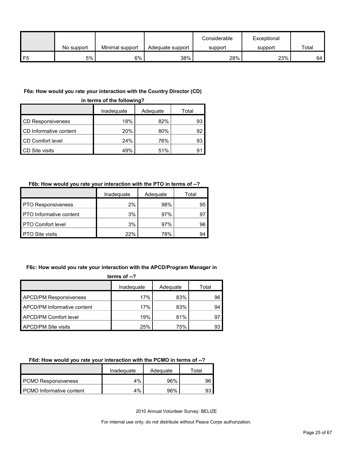|               |            |                 |                  | Considerable | Exceptional |       |
|---------------|------------|-----------------|------------------|--------------|-------------|-------|
|               | No support | Minimal support | Adequate support | support      | support     | Total |
| $\mathsf{F}5$ | 5%         | 6%              | 38%              | 28%          | 23%         | 64    |

#### **F6a: How would you rate your interaction with the Country Director (CD)**

**in terms of the following?**

|                          | Inadequate | Adequate | Total |
|--------------------------|------------|----------|-------|
| <b>CD Responsiveness</b> | 18%        | 82%      | 93    |
| CD Informative content   | 20%        | 80%      | 92    |
| CD Comfort level         | 24%        | 76%      | 93    |
| CD Site visits           | 49%        | 51%      | 91    |

#### **F6b: How would you rate your interaction with the PTO in terms of --?**

|                                | Inadeguate | Adequate | Total |
|--------------------------------|------------|----------|-------|
| <b>PTO Responsiveness</b>      | 2%         | 98%      | 95    |
| <b>PTO</b> Informative content | 3%         | 97%      | 97    |
| <b>PTO Comfort level</b>       | 3%         | 97%      | 96    |
| <b>PTO Site visits</b>         | 22%        | 78%      | 94    |

#### **F6c: How would you rate your interaction with the APCD/Program Manager in**

| terms of $-2$                 |            |          |       |  |
|-------------------------------|------------|----------|-------|--|
|                               | Inadequate | Adequate | Total |  |
| <b>APCD/PM Responsiveness</b> | 17%        | 83%      | 96    |  |
| APCD/PM Informative content   | 17%        | 83%      | 94    |  |
| APCD/PM Comfort level         | 19%        | 81%      | 97    |  |
| APCD/PM Site visits           | 25%        | 75%      | 93    |  |

#### **F6d: How would you rate your interaction with the PCMO in terms of --?**

|                            | Inadeguate | Adequate | ⊤otal |
|----------------------------|------------|----------|-------|
| <b>PCMO Responsiveness</b> | 4%         | 96%      | 96    |
| PCMO Informative content   | 4%         | 96%      | -93   |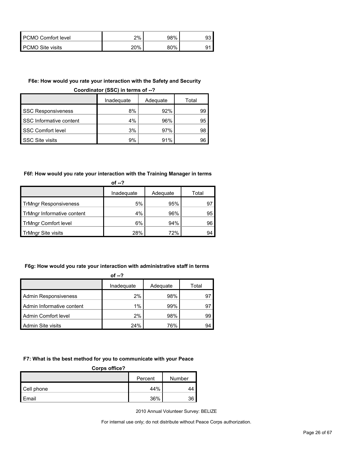| PCMO Comfort level | $2\%$ | 98% |  |
|--------------------|-------|-----|--|
| PCMO Site visits   | 20%   | 80% |  |

#### **F6e: How would you rate your interaction with the Safety and Security**

**Coordinator (SSC) in terms of --?**

|                           | Inadequate | Adequate | Total |
|---------------------------|------------|----------|-------|
| <b>SSC Responsiveness</b> | 8%         | 92%      | 99    |
| SSC Informative content   | 4%         | 96%      | 95    |
| <b>SSC Comfort level</b>  | 3%         | 97%      | 98    |
| <b>SSC Site visits</b>    | 9%         | 91%      | 96    |

#### **F6f: How would you rate your interaction with the Training Manager in terms**

| of --?                       |            |          |       |  |
|------------------------------|------------|----------|-------|--|
|                              | Inadequate | Adequate | Total |  |
| <b>TrMngr Responsiveness</b> | 5%         | 95%      |       |  |
| TrMngr Informative content   | 4%         | 96%      | 95    |  |
| <b>TrMngr Comfort level</b>  | 6%         | 94%      | 96    |  |
| TrMngr Site visits           | 28%        | 72%      | 94    |  |

#### **F6g: How would you rate your interaction with administrative staff in terms**

| of $-2$                     |            |          |       |  |  |
|-----------------------------|------------|----------|-------|--|--|
|                             | Inadequate | Adequate | Total |  |  |
| <b>Admin Responsiveness</b> | 2%         | 98%      | 97    |  |  |
| Admin Informative content   | $1\%$      | 99%      | 97    |  |  |
| Admin Comfort level         | 2%         | 98%      | 99    |  |  |
| Admin Site visits           | 24%        | 76%      | 94    |  |  |

#### **F7: What is the best method for you to communicate with your Peace**

| Corps office? |         |        |  |
|---------------|---------|--------|--|
|               | Percent | Number |  |
| Cell phone    | 44%     | 44     |  |
| Email         | 36%     | 36     |  |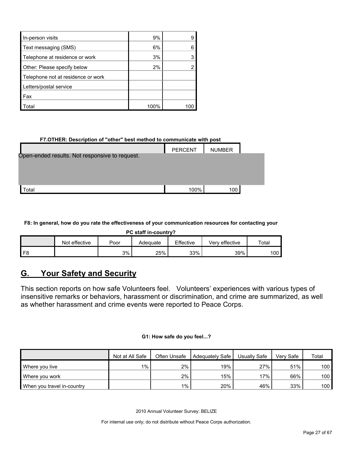| In-person visits                   | 9%   |  |
|------------------------------------|------|--|
| Text messaging (SMS)               | 6%   |  |
| Telephone at residence or work     | 3%   |  |
| Other: Please specify below        | 2%   |  |
| Telephone not at residence or work |      |  |
| Letters/postal service             |      |  |
| l Fax                              |      |  |
|                                    |      |  |
| ʻotal                              | 1በበ% |  |

#### **F7.OTHER: Description of "other" best method to communicate with post**

|                                                | <b>PERCENT</b> | <b>NUMBER</b> |  |
|------------------------------------------------|----------------|---------------|--|
| Open-ended results. Not responsive to request. |                |               |  |
|                                                |                |               |  |
|                                                |                |               |  |
| Total                                          | 100%           | 100           |  |
|                                                |                |               |  |

#### **F8: In general, how do you rate the effectiveness of your communication resources for contacting your**

**PC staff in-country?**

|                | effective<br>Not | Poor | Adequate | Effective | Very effective | Total |
|----------------|------------------|------|----------|-----------|----------------|-------|
| F <sub>8</sub> |                  | 3%   | 25%      | 33%       | 39%            | 100   |

### <span id="page-26-0"></span>**G. Your Safety and Security**

This section reports on how safe Volunteers feel. Volunteers' experiences with various types of insensitive remarks or behaviors, harassment or discrimination, and crime are summarized, as well as whether harassment and crime events were reported to Peace Corps.

#### **G1: How safe do you feel...?**

|                            | Not at All Safe | Often Unsafe | Adequately Safe | Usually Safe | Verv Safe | Total            |
|----------------------------|-----------------|--------------|-----------------|--------------|-----------|------------------|
| Where you live             | $1\%$           | $2\%$        | 19%             | 27%          | 51%       | 100 <sub>l</sub> |
| Where you work             |                 | 2%           | 15%             | 17%          | 66%       | 100 <sub>l</sub> |
| When you travel in-country |                 | $1\%$        | 20%             | 46%          | 33%       | 100 <sub>1</sub> |

2010 Annual Volunteer Survey: BELIZE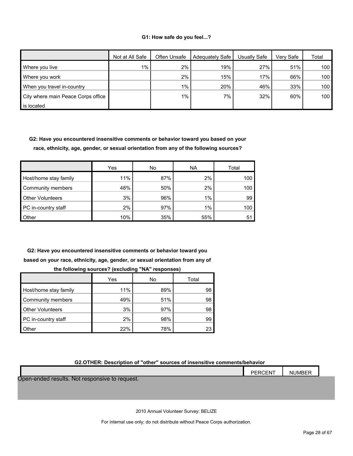#### **G1: How safe do you feel...?**

|                                    | Not at All Safe | Often Unsafe | Adequately Safe | Usually Safe | Verv Safe | Total |
|------------------------------------|-----------------|--------------|-----------------|--------------|-----------|-------|
| Where you live                     | $1\%$           | 2%           | 19%             | 27%          | 51%       | 100   |
| Where you work                     |                 | 2%           | 15%             | 17%          | 66%       | 100   |
| When you travel in-country         |                 | $1\%$        | 20%             | 46%          | 33%       | 100   |
| City where main Peace Corps office |                 | $1\%$        | 7%              | 32%          | 60%       | 100   |
| is located                         |                 |              |                 |              |           |       |

**G2: Have you encountered insensitive comments or behavior toward you based on your race, ethnicity, age, gender, or sexual orientation from any of the following sources?**

|                         | Yes | No  | <b>NA</b> | Total |
|-------------------------|-----|-----|-----------|-------|
| Host/home stay family   | 11% | 87% | 2%        | 100   |
| Community members       | 48% | 50% | 2%        | 100   |
| <b>Other Volunteers</b> | 3%  | 96% | 1%        | 99    |
| PC in-country staff     | 2%  | 97% | 1%        | 100   |
| <b>Other</b>            | 10% | 35% | 55%       | 5     |

**G2: Have you encountered insensitive comments or behavior toward you based on your race, ethnicity, age, gender, or sexual orientation from any of** 

|                         | Yes | No  | Total |
|-------------------------|-----|-----|-------|
| Host/home stay family   | 11% | 89% | 98    |
| Community members       | 49% | 51% | 98    |
| <b>Other Volunteers</b> | 3%  | 97% | 98    |
| PC in-country staff     | 2%  | 98% | 99    |
| Other                   | 22% | 78% | 23    |

| the following sources? (excluding "NA" responses) |  |
|---------------------------------------------------|--|
|---------------------------------------------------|--|

#### **G2.OTHER: Description of "other" sources of insensitive comments/behavior**

|                                                | PERCENT | <b>NUMBER</b> |  |
|------------------------------------------------|---------|---------------|--|
| Open-ended results. Not responsive to request. |         |               |  |
|                                                |         |               |  |
|                                                |         |               |  |

2010 Annual Volunteer Survey: BELIZE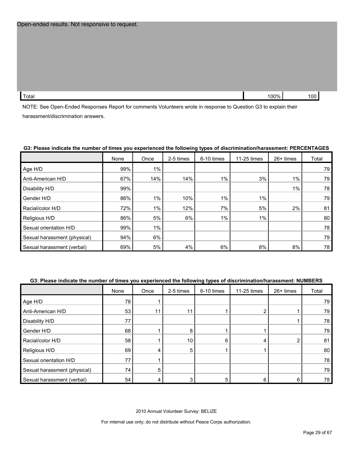| $T - 1$<br>Total | 100%<br>ີ | 100 |
|------------------|-----------|-----|
|                  |           |     |

NOTE: See Open-Ended Responses Report for comments Volunteers wrote in response to Question G3 to explain their harassment/discrimination answers.

#### **G3: Please indicate the number of times you experienced the following types of discrimination/harassment: PERCENTAGES**

|                              | None | Once  | 2-5 times | 6-10 times | 11-25 times | 26+ times | Total |
|------------------------------|------|-------|-----------|------------|-------------|-----------|-------|
| Age H/D                      | 99%  | $1\%$ |           |            |             |           | 79    |
| Anti-American H/D            | 67%  | 14%   | 14%       | $1\%$      | 3%          | $1\%$     | 79    |
| Disability H/D               | 99%  |       |           |            |             | $1\%$     | 78    |
| Gender H/D                   | 86%  | $1\%$ | 10%       | 1%         | $1\%$       |           | 79    |
| Racial/color H/D             | 72%  | $1\%$ | 12%       | 7%         | 5%          | 2%        | 81    |
| Religious H/D                | 86%  | 5%    | 6%        | 1%         | $1\%$       |           | 80    |
| Sexual orientation H/D       | 99%  | $1\%$ |           |            |             |           | 78    |
| Sexual harassment (physical) | 94%  | 6%    |           |            |             |           | 79    |
| Sexual harassment (verbal)   | 69%  | 5%    | 4%        | 6%         | 8%          | 8%        | 78    |

#### **G3: Please indicate the number of times you experienced the following types of discrimination/harassment: NUMBERS**

|                              | None | Once | 2-5 times | 6-10 times | 11-25 times | 26+ times | Total |
|------------------------------|------|------|-----------|------------|-------------|-----------|-------|
| Age H/D                      | 78   |      |           |            |             |           | 79    |
| Anti-American H/D            | 53   | 11   | 11        |            |             |           | 79    |
| Disability H/D               | 77   |      |           |            |             |           | 78    |
| Gender H/D                   | 68   |      | 8         |            |             |           | 79    |
| Racial/color H/D             | 58   |      | 10        | 6          | 4           |           | 81    |
| Religious H/D                | 69   |      | 5         |            |             |           | 80    |
| Sexual orientation H/D       | 77   |      |           |            |             |           | 78    |
| Sexual harassment (physical) | 74   | 5    |           |            |             |           | 79    |
| Sexual harassment (verbal)   | 54   |      |           |            | 6           | 6         | 78    |

2010 Annual Volunteer Survey: BELIZE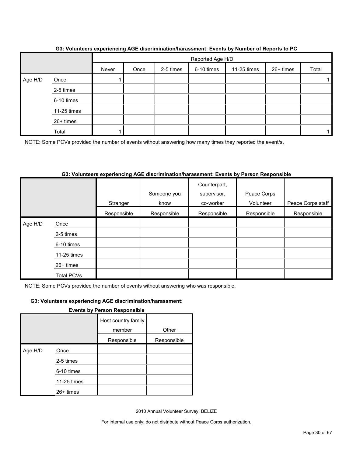|         |             | $\overline{\phantom{a}}$ | Reported Age H/D |           |            |             |           |       |  |  |
|---------|-------------|--------------------------|------------------|-----------|------------|-------------|-----------|-------|--|--|
|         |             | Never                    | Once             | 2-5 times | 6-10 times | 11-25 times | 26+ times | Total |  |  |
| Age H/D | Once        |                          |                  |           |            |             |           |       |  |  |
|         | 2-5 times   |                          |                  |           |            |             |           |       |  |  |
|         | 6-10 times  |                          |                  |           |            |             |           |       |  |  |
|         | 11-25 times |                          |                  |           |            |             |           |       |  |  |
|         | 26+ times   |                          |                  |           |            |             |           |       |  |  |
|         | Total       |                          |                  |           |            |             |           |       |  |  |

#### **G3: Volunteers experiencing AGE discrimination/harassment: Events by Number of Reports to PC**

NOTE: Some PCVs provided the number of events without answering how many times they reported the event/s.

#### **G3: Volunteers experiencing AGE discrimination/harassment: Events by Person Responsible**

|         |                   |             |             | Counterpart, |             |                   |
|---------|-------------------|-------------|-------------|--------------|-------------|-------------------|
|         |                   |             | Someone you | supervisor,  | Peace Corps |                   |
|         |                   | Stranger    | know        | co-worker    | Volunteer   | Peace Corps staff |
|         |                   | Responsible | Responsible | Responsible  | Responsible | Responsible       |
| Age H/D | Once              |             |             |              |             |                   |
|         | 2-5 times         |             |             |              |             |                   |
|         | 6-10 times        |             |             |              |             |                   |
|         | 11-25 times       |             |             |              |             |                   |
|         | $26+$ times       |             |             |              |             |                   |
|         | <b>Total PCVs</b> |             |             |              |             |                   |

NOTE: Some PCVs provided the number of events without answering who was responsible.

#### **G3: Volunteers experiencing AGE discrimination/harassment:**

**Events by Person Responsible**

|         |             | -----                         |             |
|---------|-------------|-------------------------------|-------------|
|         |             | Host country family<br>member | Other       |
|         |             | Responsible                   | Responsible |
| Age H/D | Once        |                               |             |
|         | 2-5 times   |                               |             |
|         | 6-10 times  |                               |             |
|         | 11-25 times |                               |             |
|         | 26+ times   |                               |             |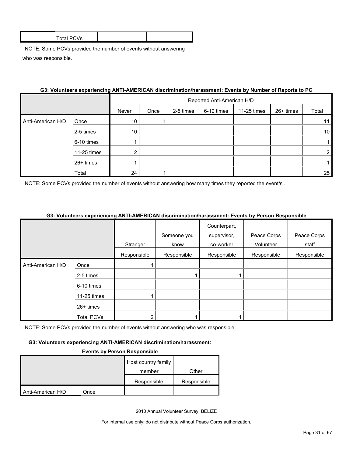| <b>Total PCVs</b> |  |
|-------------------|--|
|                   |  |

|                   | 00. TURINGGIS GAPGHGHUNG AN HAMENOAN GISUMMIGHUNIGIQSINGHI. ETGINS DY NGHIDGI UI NGPUNS IU I O |                 |                            |           |            |             |           |                 |  |
|-------------------|------------------------------------------------------------------------------------------------|-----------------|----------------------------|-----------|------------|-------------|-----------|-----------------|--|
|                   |                                                                                                |                 | Reported Anti-American H/D |           |            |             |           |                 |  |
|                   |                                                                                                | Never           | Once                       | 2-5 times | 6-10 times | 11-25 times | 26+ times | Total           |  |
| Anti-American H/D | Once                                                                                           | 10 <sup>°</sup> |                            |           |            |             |           | 11              |  |
|                   | 2-5 times                                                                                      | 10 <sup>1</sup> |                            |           |            |             |           | 10 <sup>1</sup> |  |
|                   | 6-10 times                                                                                     |                 |                            |           |            |             |           |                 |  |
|                   | 11-25 times                                                                                    | ◠               |                            |           |            |             |           |                 |  |
|                   | 26+ times                                                                                      |                 |                            |           |            |             |           |                 |  |
|                   | Total                                                                                          | 24              |                            |           |            |             |           | 25              |  |

### **G3: Volunteers experiencing ANTI-AMERICAN discrimination/harassment: Events by Number of Reports to PC**

NOTE: Some PCVs provided the number of events without answering how many times they reported the event/s.

#### **G3: Volunteers experiencing ANTI-AMERICAN discrimination/harassment: Events by Person Responsible**

|                   |                   |             | Someone you | Counterpart,<br>supervisor, | Peace Corps | Peace Corps |
|-------------------|-------------------|-------------|-------------|-----------------------------|-------------|-------------|
|                   |                   | Stranger    | know        | co-worker                   | Volunteer   | staff       |
|                   |                   | Responsible | Responsible | Responsible                 | Responsible | Responsible |
| Anti-American H/D | Once              |             |             |                             |             |             |
|                   | 2-5 times         |             |             |                             |             |             |
|                   | 6-10 times        |             |             |                             |             |             |
|                   | 11-25 times       |             |             |                             |             |             |
|                   | 26+ times         |             |             |                             |             |             |
|                   | <b>Total PCVs</b> |             |             |                             |             |             |

NOTE: Some PCVs provided the number of events without answering who was responsible.

#### **G3: Volunteers experiencing ANTI-AMERICAN discrimination/harassment:**

#### **Events by Person Responsible**

|                   | Host country family |             |             |
|-------------------|---------------------|-------------|-------------|
|                   |                     | member      | Other       |
|                   |                     | Responsible | Responsible |
| Anti-American H/D | Once                |             |             |

2010 Annual Volunteer Survey: BELIZE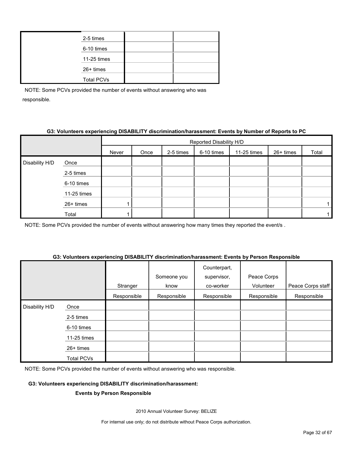#### **G3: Volunteers experiencing DISABILITY discrimination/harassment: Events by Number of Reports to PC**

|                |             |       | Reported Disability H/D |           |            |             |           |       |  |  |
|----------------|-------------|-------|-------------------------|-----------|------------|-------------|-----------|-------|--|--|
|                |             | Never | Once                    | 2-5 times | 6-10 times | 11-25 times | 26+ times | Total |  |  |
| Disability H/D | Once        |       |                         |           |            |             |           |       |  |  |
|                | 2-5 times   |       |                         |           |            |             |           |       |  |  |
|                | 6-10 times  |       |                         |           |            |             |           |       |  |  |
|                | 11-25 times |       |                         |           |            |             |           |       |  |  |
|                | 26+ times   |       |                         |           |            |             |           |       |  |  |
|                | Total       |       |                         |           |            |             |           |       |  |  |

NOTE: Some PCVs provided the number of events without answering how many times they reported the event/s.

# **G3: Volunteers experiencing DISABILITY discrimination/harassment: Events by Person Responsible**

|                |             | Stranger    | Someone you<br>know | Counterpart,<br>supervisor,<br>co-worker | Peace Corps<br>Volunteer | Peace Corps staff |
|----------------|-------------|-------------|---------------------|------------------------------------------|--------------------------|-------------------|
|                |             | Responsible | Responsible         | Responsible                              | Responsible              | Responsible       |
| Disability H/D | Once        |             |                     |                                          |                          |                   |
|                | 2-5 times   |             |                     |                                          |                          |                   |
|                | 6-10 times  |             |                     |                                          |                          |                   |
|                | 11-25 times |             |                     |                                          |                          |                   |
|                | 26+ times   |             |                     |                                          |                          |                   |
|                | Total PCVs  |             |                     |                                          |                          |                   |

NOTE: Some PCVs provided the number of events without answering who was responsible.

#### **G3: Volunteers experiencing DISABILITY discrimination/harassment:**

#### **Events by Person Responsible**

2010 Annual Volunteer Survey: BELIZE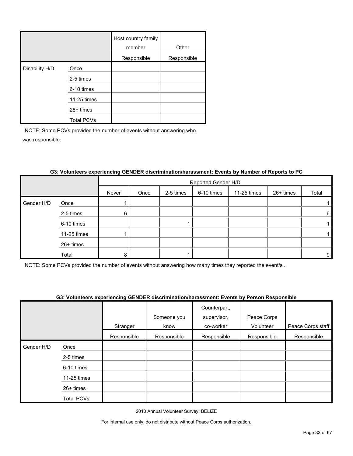|                |                   | Host country family<br>member | Other       |
|----------------|-------------------|-------------------------------|-------------|
|                |                   | Responsible                   | Responsible |
| Disability H/D | Once              |                               |             |
|                | 2-5 times         |                               |             |
|                | 6-10 times        |                               |             |
|                | 11-25 times       |                               |             |
|                | $26+$ times       |                               |             |
|                | <b>Total PCVs</b> |                               |             |

|            |             | Reported Gender H/D |      |           |            |             |           |       |
|------------|-------------|---------------------|------|-----------|------------|-------------|-----------|-------|
|            |             | Never               | Once | 2-5 times | 6-10 times | 11-25 times | 26+ times | Total |
| Gender H/D | Once        |                     |      |           |            |             |           |       |
|            | 2-5 times   | 6                   |      |           |            |             |           | 6     |
|            | 6-10 times  |                     |      |           |            |             |           |       |
|            | 11-25 times |                     |      |           |            |             |           |       |
|            | 26+ times   |                     |      |           |            |             |           |       |
|            | Total       | Զ                   |      |           |            |             |           | 9     |

#### **G3: Volunteers experiencing GENDER discrimination/harassment: Events by Number of Reports to PC**

NOTE: Some PCVs provided the number of events without answering how many times they reported the event/s .

#### **G3: Volunteers experiencing GENDER discrimination/harassment: Events by Person Responsible**

|            |                   |             |             | Counterpart, |             |                   |
|------------|-------------------|-------------|-------------|--------------|-------------|-------------------|
|            |                   |             | Someone you | supervisor,  | Peace Corps |                   |
|            |                   | Stranger    | know        | co-worker    | Volunteer   | Peace Corps staff |
|            |                   | Responsible | Responsible | Responsible  | Responsible | Responsible       |
| Gender H/D | Once              |             |             |              |             |                   |
|            | 2-5 times         |             |             |              |             |                   |
|            | 6-10 times        |             |             |              |             |                   |
|            | 11-25 times       |             |             |              |             |                   |
|            | 26+ times         |             |             |              |             |                   |
|            | <b>Total PCVs</b> |             |             |              |             |                   |

2010 Annual Volunteer Survey: BELIZE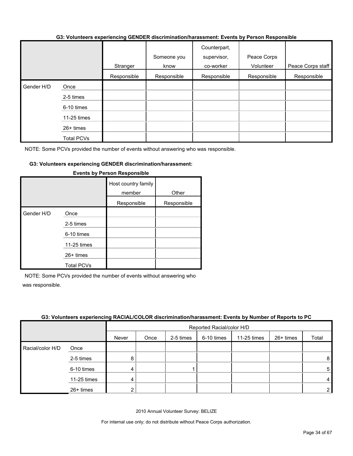#### **G3: Volunteers experiencing GENDER discrimination/harassment: Events by Person Responsible**

|            |                   |             | Someone you | Counterpart,<br>supervisor, | Peace Corps |                   |
|------------|-------------------|-------------|-------------|-----------------------------|-------------|-------------------|
|            |                   | Stranger    | know        | co-worker                   | Volunteer   | Peace Corps staff |
|            |                   | Responsible | Responsible | Responsible                 | Responsible | Responsible       |
| Gender H/D | Once              |             |             |                             |             |                   |
|            | 2-5 times         |             |             |                             |             |                   |
|            | 6-10 times        |             |             |                             |             |                   |
|            | 11-25 times       |             |             |                             |             |                   |
|            | 26+ times         |             |             |                             |             |                   |
|            | <b>Total PCVs</b> |             |             |                             |             |                   |

NOTE: Some PCVs provided the number of events without answering who was responsible.

#### **G3: Volunteers experiencing GENDER discrimination/harassment:**

|            |                   | Host country family<br>member | Other       |
|------------|-------------------|-------------------------------|-------------|
|            |                   | Responsible                   | Responsible |
| Gender H/D | Once              |                               |             |
|            | 2-5 times         |                               |             |
|            | 6-10 times        |                               |             |
|            | 11-25 times       |                               |             |
|            | $26+$ times       |                               |             |
|            | <b>Total PCVs</b> |                               |             |

#### **Events by Person Responsible**

NOTE: Some PCVs provided the number of events without answering who was responsible.

#### **G3: Volunteers experiencing RACIAL/COLOR discrimination/harassment: Events by Number of Reports to PC**

|                  |             |       | Reported Racial/color H/D |           |            |             |           |                |  |
|------------------|-------------|-------|---------------------------|-----------|------------|-------------|-----------|----------------|--|
|                  |             | Never | Once                      | 2-5 times | 6-10 times | 11-25 times | 26+ times | Total          |  |
| Racial/color H/D | Once        |       |                           |           |            |             |           |                |  |
|                  | 2-5 times   | 8     |                           |           |            |             |           | 8              |  |
|                  | 6-10 times  |       |                           |           |            |             |           | 5              |  |
|                  | 11-25 times | 4     |                           |           |            |             |           | 4              |  |
|                  | 26+ times   |       |                           |           |            |             |           | 2 <sub>1</sub> |  |

2010 Annual Volunteer Survey: BELIZE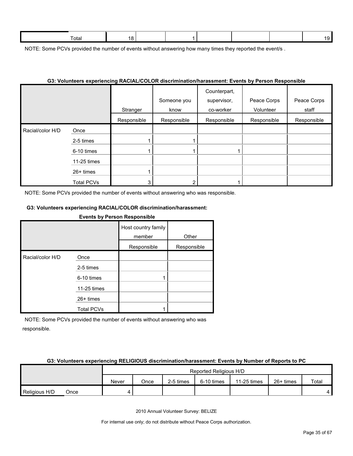NOTE: Some PCVs provided the number of events without answering how many times they reported the event/s.

#### **G3: Volunteers experiencing RACIAL/COLOR discrimination/harassment: Events by Person Responsible**

|                  |                   | Stranger    | Someone you<br>know | Counterpart,<br>supervisor,<br>co-worker | Peace Corps<br>Volunteer | Peace Corps<br>staff |
|------------------|-------------------|-------------|---------------------|------------------------------------------|--------------------------|----------------------|
|                  |                   | Responsible | Responsible         | Responsible                              | Responsible              | Responsible          |
| Racial/color H/D | Once              |             |                     |                                          |                          |                      |
|                  | 2-5 times         |             |                     |                                          |                          |                      |
|                  | 6-10 times        |             |                     |                                          |                          |                      |
|                  | 11-25 times       |             |                     |                                          |                          |                      |
|                  | 26+ times         |             |                     |                                          |                          |                      |
|                  | <b>Total PCVs</b> |             | ⌒                   |                                          |                          |                      |

NOTE: Some PCVs provided the number of events without answering who was responsible.

#### **G3: Volunteers experiencing RACIAL/COLOR discrimination/harassment:**

#### **Events by Person Responsible**

|                  |                   |             | Other       |  |
|------------------|-------------------|-------------|-------------|--|
|                  |                   | Responsible | Responsible |  |
| Racial/color H/D | Once              |             |             |  |
|                  | 2-5 times         |             |             |  |
|                  | 6-10 times        |             |             |  |
|                  | 11-25 times       |             |             |  |
|                  | $26+$ times       |             |             |  |
|                  | <b>Total PCVs</b> |             |             |  |

NOTE: Some PCVs provided the number of events without answering who was responsible.

#### **G3: Volunteers experiencing RELIGIOUS discrimination/harassment: Events by Number of Reports to PC**

|               |      | Reported Religious H/D |      |           |            |             |             |       |
|---------------|------|------------------------|------|-----------|------------|-------------|-------------|-------|
|               |      | Never                  | Once | 2-5 times | 6-10 times | 11-25 times | $26+$ times | Total |
| Religious H/D | Once |                        |      |           |            |             |             |       |

2010 Annual Volunteer Survey: BELIZE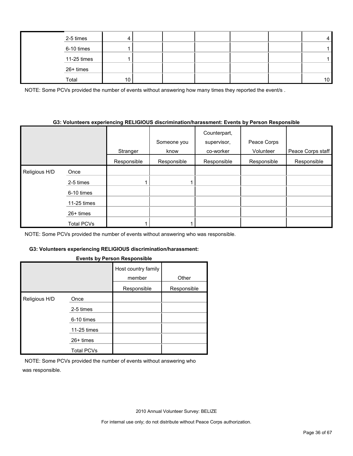| 2-5 times   |    |  |  | 4               |
|-------------|----|--|--|-----------------|
| 6-10 times  |    |  |  |                 |
| 11-25 times |    |  |  |                 |
| 26+ times   |    |  |  |                 |
| Total       | 10 |  |  | 10 <sup>1</sup> |

NOTE: Some PCVs provided the number of events without answering how many times they reported the event/s.

#### **G3: Volunteers experiencing RELIGIOUS discrimination/harassment: Events by Person Responsible**

|               |                   | Stranger    | Someone you<br>know | Counterpart,<br>supervisor,<br>co-worker | Peace Corps<br>Volunteer | Peace Corps staff |
|---------------|-------------------|-------------|---------------------|------------------------------------------|--------------------------|-------------------|
|               |                   | Responsible | Responsible         | Responsible                              | Responsible              | Responsible       |
| Religious H/D | Once              |             |                     |                                          |                          |                   |
|               | 2-5 times         |             |                     |                                          |                          |                   |
|               | 6-10 times        |             |                     |                                          |                          |                   |
|               | 11-25 times       |             |                     |                                          |                          |                   |
|               | $26+$ times       |             |                     |                                          |                          |                   |
|               | <b>Total PCVs</b> |             |                     |                                          |                          |                   |

NOTE: Some PCVs provided the number of events without answering who was responsible.

#### **G3: Volunteers experiencing RELIGIOUS discrimination/harassment:**

#### **Events by Person Responsible**

|               |                   | Host country family<br>member | Other       |
|---------------|-------------------|-------------------------------|-------------|
|               |                   | Responsible                   | Responsible |
| Religious H/D | Once              |                               |             |
|               | 2-5 times         |                               |             |
|               | 6-10 times        |                               |             |
|               | 11-25 times       |                               |             |
|               | $26+$ times       |                               |             |
|               | <b>Total PCVs</b> |                               |             |

NOTE: Some PCVs provided the number of events without answering who was responsible.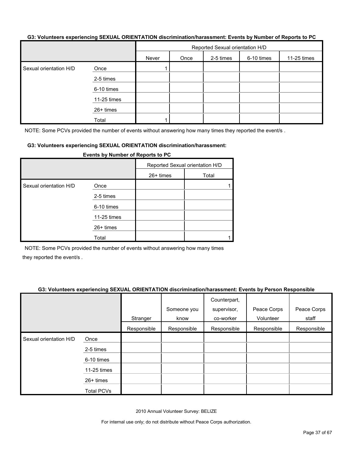#### **G3: Volunteers experiencing SEXUAL ORIENTATION discrimination/harassment: Events by Number of Reports to PC**

|                        |             | Reported Sexual orientation H/D |      |           |            |             |  |  |
|------------------------|-------------|---------------------------------|------|-----------|------------|-------------|--|--|
|                        |             | Never                           | Once | 2-5 times | 6-10 times | 11-25 times |  |  |
| Sexual orientation H/D | Once        |                                 |      |           |            |             |  |  |
|                        | 2-5 times   |                                 |      |           |            |             |  |  |
|                        | 6-10 times  |                                 |      |           |            |             |  |  |
|                        | 11-25 times |                                 |      |           |            |             |  |  |
|                        | 26+ times   |                                 |      |           |            |             |  |  |
|                        | Total       |                                 |      |           |            |             |  |  |

NOTE: Some PCVs provided the number of events without answering how many times they reported the event/s.

#### **G3: Volunteers experiencing SEXUAL ORIENTATION discrimination/harassment:**

|                        |             | - ,<br>                         |       |  |  |  |  |
|------------------------|-------------|---------------------------------|-------|--|--|--|--|
|                        |             | Reported Sexual orientation H/D |       |  |  |  |  |
|                        |             | $26+$ times                     | Total |  |  |  |  |
| Sexual orientation H/D | Once        |                                 |       |  |  |  |  |
|                        | 2-5 times   |                                 |       |  |  |  |  |
|                        | 6-10 times  |                                 |       |  |  |  |  |
|                        | 11-25 times |                                 |       |  |  |  |  |
|                        | 26+ times   |                                 |       |  |  |  |  |
|                        | Total       |                                 |       |  |  |  |  |

**Events by Number of Reports to PC**

NOTE: Some PCVs provided the number of events without answering how many times they reported the event/s .

#### **G3: Volunteers experiencing SEXUAL ORIENTATION discrimination/harassment: Events by Person Responsible**

|                        |                   | Stranger    | Someone you<br>know | Counterpart,<br>supervisor,<br>co-worker | Peace Corps<br>Volunteer | Peace Corps<br>staff |
|------------------------|-------------------|-------------|---------------------|------------------------------------------|--------------------------|----------------------|
|                        |                   | Responsible | Responsible         | Responsible                              | Responsible              | Responsible          |
| Sexual orientation H/D | Once              |             |                     |                                          |                          |                      |
|                        | 2-5 times         |             |                     |                                          |                          |                      |
|                        | 6-10 times        |             |                     |                                          |                          |                      |
|                        | 11-25 times       |             |                     |                                          |                          |                      |
|                        | 26+ times         |             |                     |                                          |                          |                      |
|                        | <b>Total PCVs</b> |             |                     |                                          |                          |                      |

2010 Annual Volunteer Survey: BELIZE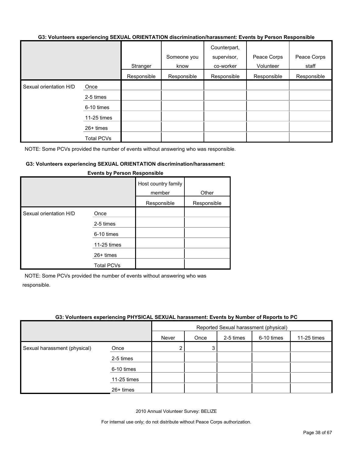#### **G3: Volunteers experiencing SEXUAL ORIENTATION discrimination/harassment: Events by Person Responsible**

|                        |                   | Stranger    | Someone you<br>know | Counterpart,<br>supervisor,<br>co-worker | Peace Corps<br>Volunteer | Peace Corps<br>staff |
|------------------------|-------------------|-------------|---------------------|------------------------------------------|--------------------------|----------------------|
|                        |                   | Responsible | Responsible         | Responsible                              | Responsible              | Responsible          |
| Sexual orientation H/D | Once<br>2-5 times |             |                     |                                          |                          |                      |
|                        | 6-10 times        |             |                     |                                          |                          |                      |
|                        | 11-25 times       |             |                     |                                          |                          |                      |
|                        | 26+ times         |             |                     |                                          |                          |                      |
|                        | <b>Total PCVs</b> |             |                     |                                          |                          |                      |

NOTE: Some PCVs provided the number of events without answering who was responsible.

#### **G3: Volunteers experiencing SEXUAL ORIENTATION discrimination/harassment:**

|                        |                   | Host country family<br>member<br>Responsible | Other<br>Responsible |
|------------------------|-------------------|----------------------------------------------|----------------------|
| Sexual orientation H/D | Once              |                                              |                      |
|                        | 2-5 times         |                                              |                      |
|                        | 6-10 times        |                                              |                      |
|                        | 11-25 times       |                                              |                      |
|                        | $26+$ times       |                                              |                      |
|                        | <b>Total PCVs</b> |                                              |                      |

#### **Events by Person Responsible**

NOTE: Some PCVs provided the number of events without answering who was responsible.

#### **G3: Volunteers experiencing PHYSICAL SEXUAL harassment: Events by Number of Reports to PC**

|                              |             | Reported Sexual harassment (physical) |      |           |            |             |
|------------------------------|-------------|---------------------------------------|------|-----------|------------|-------------|
|                              |             | Never                                 | Once | 2-5 times | 6-10 times | 11-25 times |
| Sexual harassment (physical) | Once        | 2                                     | 3    |           |            |             |
|                              | 2-5 times   |                                       |      |           |            |             |
|                              | 6-10 times  |                                       |      |           |            |             |
|                              | 11-25 times |                                       |      |           |            |             |
|                              | $26+$ times |                                       |      |           |            |             |

2010 Annual Volunteer Survey: BELIZE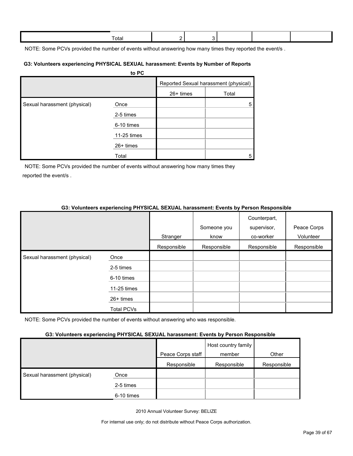| Γotal |  |  |  |
|-------|--|--|--|
|       |  |  |  |

NOTE: Some PCVs provided the number of events without answering how many times they reported the event/s.

#### **G3: Volunteers experiencing PHYSICAL SEXUAL harassment: Events by Number of Reports**

|                              | to PC       |           |                                       |
|------------------------------|-------------|-----------|---------------------------------------|
|                              |             |           | Reported Sexual harassment (physical) |
|                              |             | 26+ times | Total                                 |
| Sexual harassment (physical) | Once        |           | 5                                     |
|                              | 2-5 times   |           |                                       |
|                              | 6-10 times  |           |                                       |
|                              | 11-25 times |           |                                       |
|                              | $26+$ times |           |                                       |
|                              | Total       |           | 5                                     |

NOTE: Some PCVs provided the number of events without answering how many times they reported the event/s .

#### **G3: Volunteers experiencing PHYSICAL SEXUAL harassment: Events by Person Responsible**

|                              |             | Stranger    | Someone you<br>know | Counterpart,<br>supervisor,<br>co-worker | Peace Corps<br>Volunteer |
|------------------------------|-------------|-------------|---------------------|------------------------------------------|--------------------------|
|                              |             | Responsible | Responsible         | Responsible                              | Responsible              |
| Sexual harassment (physical) | Once        |             |                     |                                          |                          |
|                              | 2-5 times   |             |                     |                                          |                          |
|                              | 6-10 times  |             |                     |                                          |                          |
|                              | 11-25 times |             |                     |                                          |                          |
|                              | $26+$ times |             |                     |                                          |                          |
|                              | Total PCVs  |             |                     |                                          |                          |

NOTE: Some PCVs provided the number of events without answering who was responsible.

#### **G3: Volunteers experiencing PHYSICAL SEXUAL harassment: Events by Person Responsible**

|                              |            | Peace Corps staff | Host country family<br>member | Other       |
|------------------------------|------------|-------------------|-------------------------------|-------------|
|                              |            | Responsible       | Responsible                   | Responsible |
| Sexual harassment (physical) | Once       |                   |                               |             |
|                              | 2-5 times  |                   |                               |             |
|                              | 6-10 times |                   |                               |             |

2010 Annual Volunteer Survey: BELIZE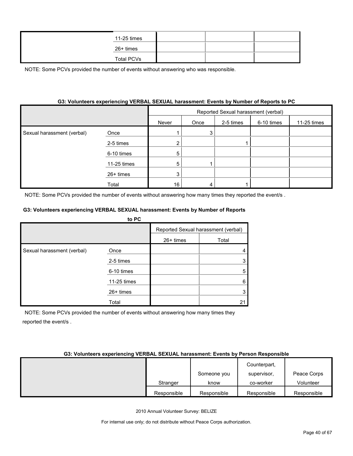| 11-25 times       |  |  |
|-------------------|--|--|
| 26+ times         |  |  |
| <b>Total PCVs</b> |  |  |

#### **G3: Volunteers experiencing VERBAL SEXUAL harassment: Events by Number of Reports to PC**

|                            |             | Reported Sexual harassment (verbal) |      |           |            |             |  |
|----------------------------|-------------|-------------------------------------|------|-----------|------------|-------------|--|
|                            |             | Never                               | Once | 2-5 times | 6-10 times | 11-25 times |  |
| Sexual harassment (verbal) | Once        |                                     | 3    |           |            |             |  |
|                            | 2-5 times   |                                     |      |           |            |             |  |
|                            | 6-10 times  | 5                                   |      |           |            |             |  |
|                            | 11-25 times | 5                                   |      |           |            |             |  |
|                            | 26+ times   |                                     |      |           |            |             |  |
|                            | Total       | 16                                  |      |           |            |             |  |

NOTE: Some PCVs provided the number of events without answering how many times they reported the event/s .

#### **G3: Volunteers experiencing VERBAL SEXUAL harassment: Events by Number of Reports**

|                            | to PC       |                                     |       |
|----------------------------|-------------|-------------------------------------|-------|
|                            |             | Reported Sexual harassment (verbal) |       |
|                            |             | $26+$ times                         | Total |
| Sexual harassment (verbal) | Once        |                                     |       |
|                            | 2-5 times   |                                     |       |
|                            | 6-10 times  |                                     | 5     |
|                            | 11-25 times |                                     | 6     |
|                            | $26+$ times |                                     |       |
|                            | Total       |                                     | 21    |

NOTE: Some PCVs provided the number of events without answering how many times they reported the event/s .

#### **G3: Volunteers experiencing VERBAL SEXUAL harassment: Events by Person Responsible**

|             |             | Counterpart, |             |
|-------------|-------------|--------------|-------------|
|             | Someone you | supervisor,  | Peace Corps |
| Stranger    | know        | co-worker    | Volunteer   |
| Responsible | Responsible | Responsible  | Responsible |

2010 Annual Volunteer Survey: BELIZE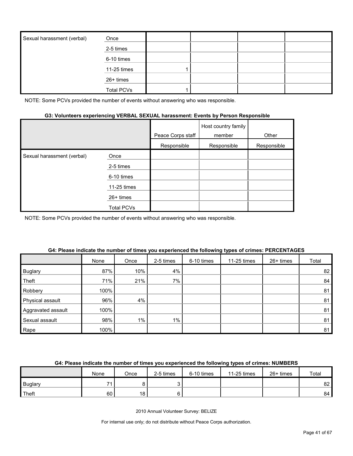| Sexual harassment (verbal) | Once              |  |  |
|----------------------------|-------------------|--|--|
|                            | 2-5 times         |  |  |
|                            | 6-10 times        |  |  |
|                            | 11-25 times       |  |  |
|                            | 26+ times         |  |  |
|                            | <b>Total PCVs</b> |  |  |

#### **G3: Volunteers experiencing VERBAL SEXUAL harassment: Events by Person Responsible**

|                            |             | Peace Corps staff | Host country family<br>member | Other       |
|----------------------------|-------------|-------------------|-------------------------------|-------------|
|                            |             | Responsible       | Responsible                   | Responsible |
| Sexual harassment (verbal) | Once        |                   |                               |             |
|                            | 2-5 times   |                   |                               |             |
|                            | 6-10 times  |                   |                               |             |
|                            | 11-25 times |                   |                               |             |
|                            | $26+$ times |                   |                               |             |
|                            | Total PCVs  |                   |                               |             |

NOTE: Some PCVs provided the number of events without answering who was responsible.

|                    | None | Once | 2-5 times | 6-10 times | 11-25 times | $26+$ times | Total |
|--------------------|------|------|-----------|------------|-------------|-------------|-------|
| <b>Buglary</b>     | 87%  | 10%  | 4%        |            |             |             | 82    |
| Theft              | 71%  | 21%  | $7\%$     |            |             |             | 84    |
| Robbery            | 100% |      |           |            |             |             | 81    |
| Physical assault   | 96%  | 4%   |           |            |             |             | 81    |
| Aggravated assault | 100% |      |           |            |             |             | 81    |
| Sexual assault     | 98%  | 1%   | $1\%$     |            |             |             | 81    |
| Rape               | 100% |      |           |            |             |             | 81    |

#### **G4: Please indicate the number of times you experienced the following types of crimes: PERCENTAGES**

#### **G4: Please indicate the number of times you experienced the following types of crimes: NUMBERS**

|                | None | Once | 2-5 times | 6-10 times | 11-25 times | $26+$ times | Total |
|----------------|------|------|-----------|------------|-------------|-------------|-------|
| <b>Buglary</b> | ۰.   |      |           |            |             |             | 82 I  |
| Theft          | 60   | 18   |           |            |             |             | 84    |

2010 Annual Volunteer Survey: BELIZE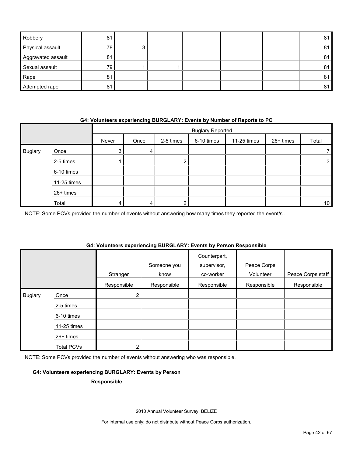| Robbery            | 81 |   |  |  | 81 |
|--------------------|----|---|--|--|----|
| Physical assault   | 78 | ົ |  |  | 81 |
| Aggravated assault | 81 |   |  |  | 81 |
| Sexual assault     | 79 |   |  |  | 81 |
| Rape               | 81 |   |  |  | 81 |
| Attempted rape     | 81 |   |  |  | 81 |

#### **G4: Volunteers experiencing BURGLARY: Events by Number of Reports to PC**

|                |             |       | <b>Buglary Reported</b> |           |            |             |           |                 |  |
|----------------|-------------|-------|-------------------------|-----------|------------|-------------|-----------|-----------------|--|
|                |             | Never | Once                    | 2-5 times | 6-10 times | 11-25 times | 26+ times | Total           |  |
| <b>Buglary</b> | Once        | 3     | 4                       |           |            |             |           |                 |  |
|                | 2-5 times   |       |                         | ົ         |            |             |           | 3               |  |
|                | 6-10 times  |       |                         |           |            |             |           |                 |  |
|                | 11-25 times |       |                         |           |            |             |           |                 |  |
|                | 26+ times   |       |                         |           |            |             |           |                 |  |
|                | Total       | 4     |                         | ⌒         |            |             |           | 10 <sup>1</sup> |  |

NOTE: Some PCVs provided the number of events without answering how many times they reported the event/s .

#### **G4: Volunteers experiencing BURGLARY: Events by Person Responsible**

|                |                   |                | Someone you | Counterpart,<br>supervisor, | Peace Corps |                   |
|----------------|-------------------|----------------|-------------|-----------------------------|-------------|-------------------|
|                |                   | Stranger       | know        | co-worker                   | Volunteer   | Peace Corps staff |
|                |                   | Responsible    | Responsible | Responsible                 | Responsible | Responsible       |
| <b>Buglary</b> | Once              | $\overline{2}$ |             |                             |             |                   |
|                | 2-5 times         |                |             |                             |             |                   |
|                | 6-10 times        |                |             |                             |             |                   |
|                | $11-25$ times     |                |             |                             |             |                   |
|                | 26+ times         |                |             |                             |             |                   |
|                | <b>Total PCVs</b> | 2              |             |                             |             |                   |

NOTE: Some PCVs provided the number of events without answering who was responsible.

#### **G4: Volunteers experiencing BURGLARY: Events by Person**

#### **Responsible**

2010 Annual Volunteer Survey: BELIZE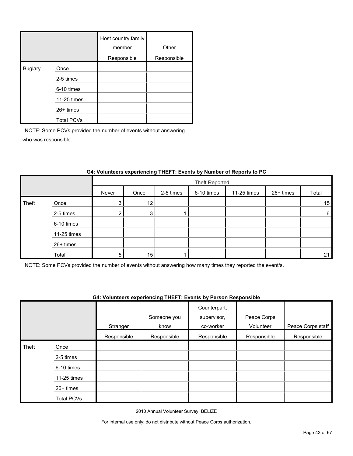|         |                   | Host country family<br>member | Other       |
|---------|-------------------|-------------------------------|-------------|
|         |                   | Responsible                   | Responsible |
| Buglary | Once              |                               |             |
|         | 2-5 times         |                               |             |
|         | 6-10 times        |                               |             |
|         | 11-25 times       |                               |             |
|         | $26+$ times       |                               |             |
|         | <b>Total PCVs</b> |                               |             |

|       |             |       | Theft Reported |           |            |             |           |                 |  |
|-------|-------------|-------|----------------|-----------|------------|-------------|-----------|-----------------|--|
|       |             | Never | Once           | 2-5 times | 6-10 times | 11-25 times | 26+ times | Total           |  |
| Theft | Once        | 3     | 12             |           |            |             |           | 15              |  |
|       | 2-5 times   | ◠     | 3              |           |            |             |           | $6\phantom{.}6$ |  |
|       | 6-10 times  |       |                |           |            |             |           |                 |  |
|       | 11-25 times |       |                |           |            |             |           |                 |  |
|       | 26+ times   |       |                |           |            |             |           |                 |  |
|       | Total       | 5     | 15             |           |            |             |           | 21              |  |

#### **G4: Volunteers experiencing THEFT: Events by Number of Reports to PC**

NOTE: Some PCVs provided the number of events without answering how many times they reported the event/s.

#### **G4: Volunteers experiencing THEFT: Events by Person Responsible**

|       |             |             | Someone you | Counterpart,<br>supervisor, | Peace Corps |                   |
|-------|-------------|-------------|-------------|-----------------------------|-------------|-------------------|
|       |             | Stranger    | know        | co-worker                   | Volunteer   | Peace Corps staff |
|       |             | Responsible | Responsible | Responsible                 | Responsible | Responsible       |
| Theft | Once        |             |             |                             |             |                   |
|       | 2-5 times   |             |             |                             |             |                   |
|       | 6-10 times  |             |             |                             |             |                   |
|       | 11-25 times |             |             |                             |             |                   |
|       | $26+$ times |             |             |                             |             |                   |
|       | Total PCVs  |             |             |                             |             |                   |

2010 Annual Volunteer Survey: BELIZE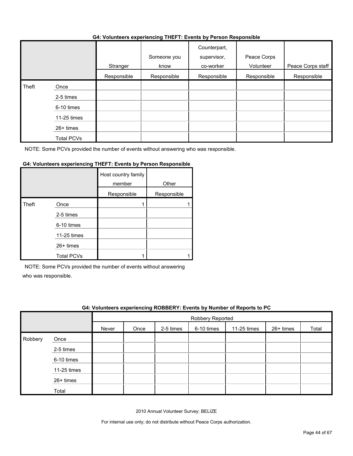#### **G4: Volunteers experiencing THEFT: Events by Person Responsible**

|       |                   | .           |                     | .                                        |                          |                   |
|-------|-------------------|-------------|---------------------|------------------------------------------|--------------------------|-------------------|
|       |                   | Stranger    | Someone you<br>know | Counterpart,<br>supervisor,<br>co-worker | Peace Corps<br>Volunteer | Peace Corps staff |
|       |                   | Responsible | Responsible         | Responsible                              | Responsible              | Responsible       |
| Theft | Once              |             |                     |                                          |                          |                   |
|       | 2-5 times         |             |                     |                                          |                          |                   |
|       | 6-10 times        |             |                     |                                          |                          |                   |
|       | 11-25 times       |             |                     |                                          |                          |                   |
|       | 26+ times         |             |                     |                                          |                          |                   |
|       | <b>Total PCVs</b> |             |                     |                                          |                          |                   |

NOTE: Some PCVs provided the number of events without answering who was responsible.

#### **G4: Volunteers experiencing THEFT: Events by Person Responsible**

|       |                   | Host country family<br>member | Other       |
|-------|-------------------|-------------------------------|-------------|
|       |                   | Responsible                   | Responsible |
| Theft | Once              |                               |             |
|       | 2-5 times         |                               |             |
|       | 6-10 times        |                               |             |
|       | 11-25 times       |                               |             |
|       | 26+ times         |                               |             |
|       | <b>Total PCVs</b> |                               |             |

NOTE: Some PCVs provided the number of events without answering

who was responsible.

|         | G4: Volunteers experiencing ROBBERY: Events by Number of Reports to PC |       |                  |           |            |             |             |       |  |
|---------|------------------------------------------------------------------------|-------|------------------|-----------|------------|-------------|-------------|-------|--|
|         |                                                                        |       | Robbery Reported |           |            |             |             |       |  |
|         |                                                                        | Never | Once             | 2-5 times | 6-10 times | 11-25 times | $26+$ times | Total |  |
| Robbery | Once                                                                   |       |                  |           |            |             |             |       |  |
|         | 2-5 times                                                              |       |                  |           |            |             |             |       |  |
|         | 6-10 times                                                             |       |                  |           |            |             |             |       |  |
|         | 11-25 times                                                            |       |                  |           |            |             |             |       |  |
|         | 26+ times                                                              |       |                  |           |            |             |             |       |  |
|         | Total                                                                  |       |                  |           |            |             |             |       |  |

2010 Annual Volunteer Survey: BELIZE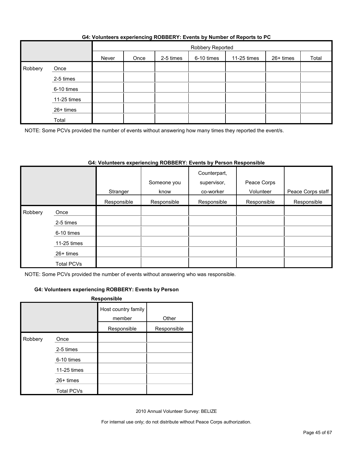|  | G4: Volunteers experiencing ROBBERY: Events by Number of Reports to PC |
|--|------------------------------------------------------------------------|
|  |                                                                        |

|         |             | Robbery Reported |      |           |            |             |           |       |  |
|---------|-------------|------------------|------|-----------|------------|-------------|-----------|-------|--|
|         |             | Never            | Once | 2-5 times | 6-10 times | 11-25 times | 26+ times | Total |  |
| Robbery | Once        |                  |      |           |            |             |           |       |  |
|         | 2-5 times   |                  |      |           |            |             |           |       |  |
|         | 6-10 times  |                  |      |           |            |             |           |       |  |
|         | 11-25 times |                  |      |           |            |             |           |       |  |
|         | 26+ times   |                  |      |           |            |             |           |       |  |
|         | Total       |                  |      |           |            |             |           |       |  |

NOTE: Some PCVs provided the number of events without answering how many times they reported the event/s.

#### **G4: Volunteers experiencing ROBBERY: Events by Person Responsible**

|         |                   | Stranger    | Someone you<br>know | Counterpart,<br>supervisor,<br>co-worker | Peace Corps<br>Volunteer | Peace Corps staff |
|---------|-------------------|-------------|---------------------|------------------------------------------|--------------------------|-------------------|
|         |                   | Responsible | Responsible         | Responsible                              | Responsible              | Responsible       |
| Robbery | Once              |             |                     |                                          |                          |                   |
|         | 2-5 times         |             |                     |                                          |                          |                   |
|         | 6-10 times        |             |                     |                                          |                          |                   |
|         | 11-25 times       |             |                     |                                          |                          |                   |
|         | $26+$ times       |             |                     |                                          |                          |                   |
|         | <b>Total PCVs</b> |             |                     |                                          |                          |                   |

NOTE: Some PCVs provided the number of events without answering who was responsible.

#### **G4: Volunteers experiencing ROBBERY: Events by Person**

| Responsible |                   |                               |             |  |  |  |
|-------------|-------------------|-------------------------------|-------------|--|--|--|
|             |                   | Host country family<br>member | Other       |  |  |  |
|             |                   | Responsible                   | Responsible |  |  |  |
| Robbery     | Once              |                               |             |  |  |  |
|             | 2-5 times         |                               |             |  |  |  |
|             | 6-10 times        |                               |             |  |  |  |
|             | 11-25 times       |                               |             |  |  |  |
|             | 26+ times         |                               |             |  |  |  |
|             | <b>Total PCVs</b> |                               |             |  |  |  |

2010 Annual Volunteer Survey: BELIZE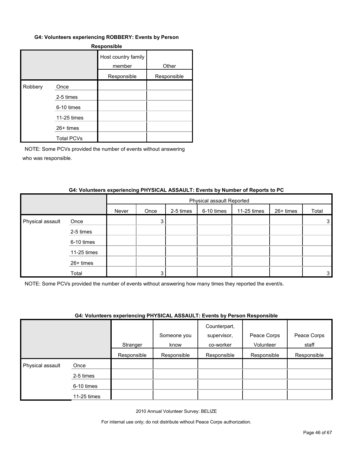#### **G4: Volunteers experiencing ROBBERY: Events by Person**

| <b>Responsible</b> |                   |                               |             |  |  |  |
|--------------------|-------------------|-------------------------------|-------------|--|--|--|
|                    |                   | Host country family<br>member | Other       |  |  |  |
|                    |                   | Responsible                   | Responsible |  |  |  |
| Robbery            | Once              |                               |             |  |  |  |
|                    | 2-5 times         |                               |             |  |  |  |
|                    | 6-10 times        |                               |             |  |  |  |
|                    | 11-25 times       |                               |             |  |  |  |
|                    | 26+ times         |                               |             |  |  |  |
|                    | <b>Total PCVs</b> |                               |             |  |  |  |

NOTE: Some PCVs provided the number of events without answering who was responsible.

#### **G4: Volunteers experiencing PHYSICAL ASSAULT: Events by Number of Reports to PC**

|                  |             | Physical assault Reported |      |           |            |             |           |       |
|------------------|-------------|---------------------------|------|-----------|------------|-------------|-----------|-------|
|                  |             | Never                     | Once | 2-5 times | 6-10 times | 11-25 times | 26+ times | Total |
| Physical assault | Once        |                           | 3    |           |            |             |           | 3     |
|                  | 2-5 times   |                           |      |           |            |             |           |       |
|                  | 6-10 times  |                           |      |           |            |             |           |       |
|                  | 11-25 times |                           |      |           |            |             |           |       |
|                  | 26+ times   |                           |      |           |            |             |           |       |
|                  | Total       |                           | 3    |           |            |             |           | 3     |

NOTE: Some PCVs provided the number of events without answering how many times they reported the event/s.

#### **G4: Volunteers experiencing PHYSICAL ASSAULT: Events by Person Responsible**

|                  |             | $\overline{\phantom{a}}$ |             | .<br>Counterpart, |             |             |
|------------------|-------------|--------------------------|-------------|-------------------|-------------|-------------|
|                  |             |                          | Someone you | supervisor,       | Peace Corps | Peace Corps |
|                  |             | Stranger                 | know        | co-worker         | Volunteer   | staff       |
|                  |             | Responsible              | Responsible | Responsible       | Responsible | Responsible |
| Physical assault | Once        |                          |             |                   |             |             |
|                  | 2-5 times   |                          |             |                   |             |             |
|                  | 6-10 times  |                          |             |                   |             |             |
|                  | 11-25 times |                          |             |                   |             |             |

2010 Annual Volunteer Survey: BELIZE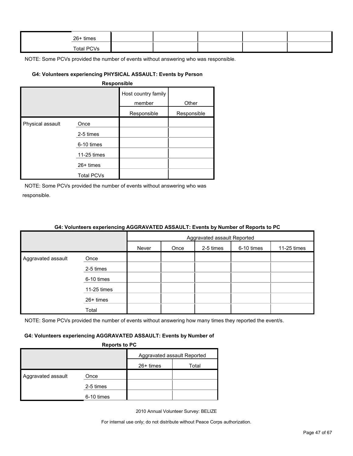| 26+ times         |  |  |  |
|-------------------|--|--|--|
| <b>Total PCVs</b> |  |  |  |

#### **G4: Volunteers experiencing PHYSICAL ASSAULT: Events by Person**

|                  |                   | Host country family<br>member | Other       |
|------------------|-------------------|-------------------------------|-------------|
|                  |                   | Responsible                   | Responsible |
| Physical assault | Once              |                               |             |
|                  | 2-5 times         |                               |             |
|                  | 6-10 times        |                               |             |
|                  | 11-25 times       |                               |             |
|                  | 26+ times         |                               |             |
|                  | <b>Total PCVs</b> |                               |             |

NOTE: Some PCVs provided the number of events without answering who was responsible.

| <u>on relatively experiencing result in the restriction of number of hepene to re</u> |               |                             |      |           |            |             |
|---------------------------------------------------------------------------------------|---------------|-----------------------------|------|-----------|------------|-------------|
|                                                                                       |               | Aggravated assault Reported |      |           |            |             |
|                                                                                       |               | Never                       | Once | 2-5 times | 6-10 times | 11-25 times |
| Aggravated assault                                                                    | Once          |                             |      |           |            |             |
|                                                                                       | 2-5 times     |                             |      |           |            |             |
|                                                                                       | 6-10 times    |                             |      |           |            |             |
|                                                                                       | $11-25$ times |                             |      |           |            |             |
|                                                                                       | 26+ times     |                             |      |           |            |             |
|                                                                                       | Total         |                             |      |           |            |             |

#### **G4: Volunteers experiencing AGGRAVATED ASSAULT: Events by Number of Reports to PC**

NOTE: Some PCVs provided the number of events without answering how many times they reported the event/s.

#### **G4: Volunteers experiencing AGGRAVATED ASSAULT: Events by Number of**

**Reports to PC**

|                    |            | Aggravated assault Reported |       |  |  |
|--------------------|------------|-----------------------------|-------|--|--|
|                    |            | $26+$ times                 | Total |  |  |
| Aggravated assault | Once       |                             |       |  |  |
|                    | 2-5 times  |                             |       |  |  |
|                    | 6-10 times |                             |       |  |  |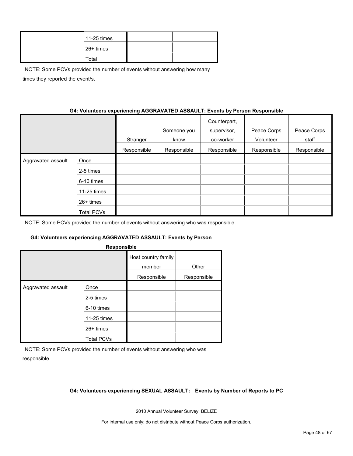| 11-25 times |  |
|-------------|--|
| 26+ times   |  |
| Total       |  |

NOTE: Some PCVs provided the number of events without answering how many times they reported the event/s.

#### **G4: Volunteers experiencing AGGRAVATED ASSAULT: Events by Person Responsible**

|                    |             | Stranger    | Someone you<br>know | Counterpart,<br>supervisor,<br>co-worker | Peace Corps<br>Volunteer | Peace Corps<br>staff |
|--------------------|-------------|-------------|---------------------|------------------------------------------|--------------------------|----------------------|
|                    |             | Responsible | Responsible         | Responsible                              | Responsible              | Responsible          |
| Aggravated assault | Once        |             |                     |                                          |                          |                      |
|                    | 2-5 times   |             |                     |                                          |                          |                      |
|                    | 6-10 times  |             |                     |                                          |                          |                      |
|                    | 11-25 times |             |                     |                                          |                          |                      |
|                    | 26+ times   |             |                     |                                          |                          |                      |
|                    | Total PCVs  |             |                     |                                          |                          |                      |

NOTE: Some PCVs provided the number of events without answering who was responsible.

#### **G4: Volunteers experiencing AGGRAVATED ASSAULT: Events by Person**

| Host country family<br>member<br>Other<br>Responsible<br>Responsible<br>Aggravated assault<br>Once | Responsible |  |
|----------------------------------------------------------------------------------------------------|-------------|--|
|                                                                                                    |             |  |
|                                                                                                    |             |  |
|                                                                                                    |             |  |
| 2-5 times                                                                                          |             |  |
| 6-10 times                                                                                         |             |  |
| 11-25 times                                                                                        |             |  |
| 26+ times                                                                                          |             |  |
| <b>Total PCVs</b>                                                                                  |             |  |

NOTE: Some PCVs provided the number of events without answering who was responsible.

#### **G4: Volunteers experiencing SEXUAL ASSAULT: Events by Number of Reports to PC**

2010 Annual Volunteer Survey: BELIZE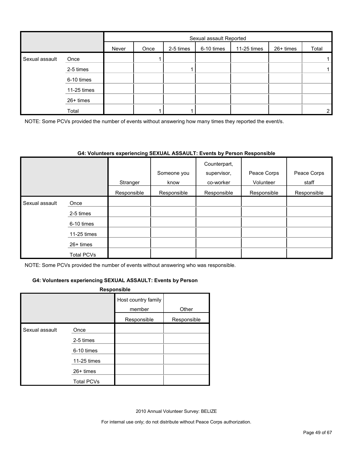|                |             |       | Sexual assault Reported |           |            |             |           |                |  |
|----------------|-------------|-------|-------------------------|-----------|------------|-------------|-----------|----------------|--|
|                |             | Never | Once                    | 2-5 times | 6-10 times | 11-25 times | 26+ times | Total          |  |
| Sexual assault | Once        |       |                         |           |            |             |           |                |  |
|                | 2-5 times   |       |                         |           |            |             |           |                |  |
|                | 6-10 times  |       |                         |           |            |             |           |                |  |
|                | 11-25 times |       |                         |           |            |             |           |                |  |
|                | 26+ times   |       |                         |           |            |             |           |                |  |
|                | Total       |       |                         |           |            |             |           | $\overline{2}$ |  |

NOTE: Some PCVs provided the number of events without answering how many times they reported the event/s.

#### **G4: Volunteers experiencing SEXUAL ASSAULT: Events by Person Responsible**

|                |             | Stranger    | Someone you<br>know | Counterpart,<br>supervisor,<br>co-worker | Peace Corps<br>Volunteer | Peace Corps<br>staff |
|----------------|-------------|-------------|---------------------|------------------------------------------|--------------------------|----------------------|
|                |             |             |                     |                                          |                          |                      |
|                |             | Responsible | Responsible         | Responsible                              | Responsible              | Responsible          |
| Sexual assault | Once        |             |                     |                                          |                          |                      |
|                | 2-5 times   |             |                     |                                          |                          |                      |
|                | 6-10 times  |             |                     |                                          |                          |                      |
|                | 11-25 times |             |                     |                                          |                          |                      |
|                | $26+$ times |             |                     |                                          |                          |                      |
|                | Total PCVs  |             |                     |                                          |                          |                      |

NOTE: Some PCVs provided the number of events without answering who was responsible.

#### **G4: Volunteers experiencing SEXUAL ASSAULT: Events by Person**

#### **Responsible**

|                |                   | Host country family<br>member | Other       |
|----------------|-------------------|-------------------------------|-------------|
|                |                   | Responsible                   | Responsible |
| Sexual assault | Once              |                               |             |
|                | 2-5 times         |                               |             |
|                | 6-10 times        |                               |             |
|                | 11-25 times       |                               |             |
|                | $26+$ times       |                               |             |
|                | <b>Total PCVs</b> |                               |             |

2010 Annual Volunteer Survey: BELIZE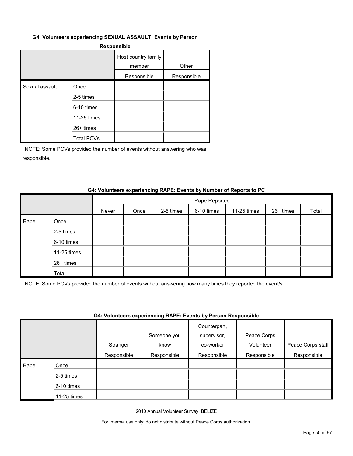#### **G4: Volunteers experiencing SEXUAL ASSAULT: Events by Person**

#### **Responsible**

|                |                   | Host country family<br>member | Other       |
|----------------|-------------------|-------------------------------|-------------|
|                |                   | Responsible                   | Responsible |
| Sexual assault | Once              |                               |             |
|                | 2-5 times         |                               |             |
|                | 6-10 times        |                               |             |
|                | 11-25 times       |                               |             |
|                | $26+$ times       |                               |             |
|                | <b>Total PCVs</b> |                               |             |

NOTE: Some PCVs provided the number of events without answering who was responsible.

#### **G4: Volunteers experiencing RAPE: Events by Number of Reports to PC**

|      |             |       |      |           | Rape Reported |             |           |       |
|------|-------------|-------|------|-----------|---------------|-------------|-----------|-------|
|      |             | Never | Once | 2-5 times | 6-10 times    | 11-25 times | 26+ times | Total |
| Rape | Once        |       |      |           |               |             |           |       |
|      | 2-5 times   |       |      |           |               |             |           |       |
|      | 6-10 times  |       |      |           |               |             |           |       |
|      | 11-25 times |       |      |           |               |             |           |       |
|      | 26+ times   |       |      |           |               |             |           |       |
|      | Total       |       |      |           |               |             |           |       |

NOTE: Some PCVs provided the number of events without answering how many times they reported the event/s .

#### **G4: Volunteers experiencing RAPE: Events by Person Responsible**

|      |             | Stranger    | Someone you<br>know | Counterpart,<br>supervisor,<br>co-worker | Peace Corps<br>Volunteer | Peace Corps staff |
|------|-------------|-------------|---------------------|------------------------------------------|--------------------------|-------------------|
|      |             | Responsible | Responsible         | Responsible                              | Responsible              | Responsible       |
| Rape | Once        |             |                     |                                          |                          |                   |
|      | 2-5 times   |             |                     |                                          |                          |                   |
|      | 6-10 times  |             |                     |                                          |                          |                   |
|      | 11-25 times |             |                     |                                          |                          |                   |

2010 Annual Volunteer Survey: BELIZE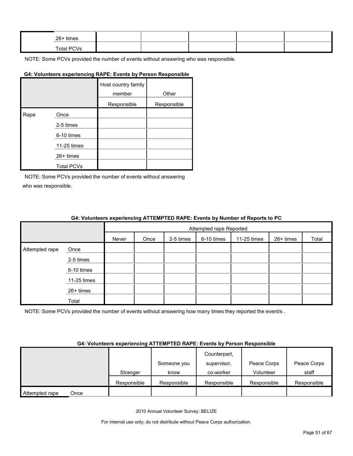| 26+ times  |  |  |  |
|------------|--|--|--|
| Total PCVs |  |  |  |

#### **G4: Volunteers experiencing RAPE: Events by Person Responsible**

|      |                   | Host country family<br>member | Other       |
|------|-------------------|-------------------------------|-------------|
|      |                   | Responsible                   | Responsible |
| Rape | Once              |                               |             |
|      | 2-5 times         |                               |             |
|      | 6-10 times        |                               |             |
|      | 11-25 times       |                               |             |
|      | 26+ times         |                               |             |
|      | <b>Total PCVs</b> |                               |             |

NOTE: Some PCVs provided the number of events without answering who was responsible.

#### **G4: Volunteers experiencing ATTEMPTED RAPE: Events by Number of Reports to PC**

|                |             |       |                                                                      |  | Attempted rape Reported |  |  |  |  |  |
|----------------|-------------|-------|----------------------------------------------------------------------|--|-------------------------|--|--|--|--|--|
|                |             | Never | 2-5 times<br>6-10 times<br>11-25 times<br>26+ times<br>Total<br>Once |  |                         |  |  |  |  |  |
| Attempted rape | Once        |       |                                                                      |  |                         |  |  |  |  |  |
|                | 2-5 times   |       |                                                                      |  |                         |  |  |  |  |  |
|                | 6-10 times  |       |                                                                      |  |                         |  |  |  |  |  |
|                | 11-25 times |       |                                                                      |  |                         |  |  |  |  |  |
|                | 26+ times   |       |                                                                      |  |                         |  |  |  |  |  |
|                | Total       |       |                                                                      |  |                         |  |  |  |  |  |

NOTE: Some PCVs provided the number of events without answering how many times they reported the event/s.

#### **G4: Volunteers experiencing ATTEMPTED RAPE: Events by Person Responsible**

|                        |             |             | Counterpart, |             |             |
|------------------------|-------------|-------------|--------------|-------------|-------------|
|                        |             | Someone you | supervisor.  | Peace Corps | Peace Corps |
|                        | Stranger    | know        | co-worker    | Volunteer   | staff       |
|                        | Responsible | Responsible | Responsible  | Responsible | Responsible |
| Attempted rape<br>Once |             |             |              |             |             |

2010 Annual Volunteer Survey: BELIZE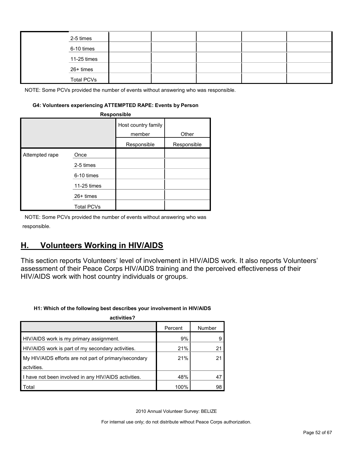|  | 2-5 times         |  |  |  |
|--|-------------------|--|--|--|
|  | 6-10 times        |  |  |  |
|  | 11-25 times       |  |  |  |
|  | 26+ times         |  |  |  |
|  | <b>Total PCVs</b> |  |  |  |

#### **G4: Volunteers experiencing ATTEMPTED RAPE: Events by Person**

| Responsible    |                   |                               |             |  |  |  |  |  |
|----------------|-------------------|-------------------------------|-------------|--|--|--|--|--|
|                |                   | Host country family<br>member | Other       |  |  |  |  |  |
|                |                   | Responsible                   | Responsible |  |  |  |  |  |
| Attempted rape | Once              |                               |             |  |  |  |  |  |
|                | 2-5 times         |                               |             |  |  |  |  |  |
|                | 6-10 times        |                               |             |  |  |  |  |  |
|                | 11-25 times       |                               |             |  |  |  |  |  |
|                | $26+$ times       |                               |             |  |  |  |  |  |
|                | <b>Total PCVs</b> |                               |             |  |  |  |  |  |

NOTE: Some PCVs provided the number of events without answering who was responsible.

### <span id="page-51-0"></span>**H. Volunteers Working in HIV/AIDS**

This section reports Volunteers' level of involvement in HIV/AIDS work. It also reports Volunteers' assessment of their Peace Corps HIV/AIDS training and the perceived effectiveness of their HIV/AIDS work with host country individuals or groups.

#### **H1: Which of the following best describes your involvement in HIV/AIDS**

| activities?                                           |         |        |  |  |  |  |  |
|-------------------------------------------------------|---------|--------|--|--|--|--|--|
|                                                       | Percent | Number |  |  |  |  |  |
| HIV/AIDS work is my primary assignment.               | 9%      |        |  |  |  |  |  |
| HIV/AIDS work is part of my secondary activities.     | 21%     | 21     |  |  |  |  |  |
| My HIV/AIDS efforts are not part of primary/secondary | 21%     | 21     |  |  |  |  |  |
| actvities.                                            |         |        |  |  |  |  |  |
| I have not been involved in any HIV/AIDS activities.  | 48%     | 47     |  |  |  |  |  |
| Total                                                 | 100%    | 98     |  |  |  |  |  |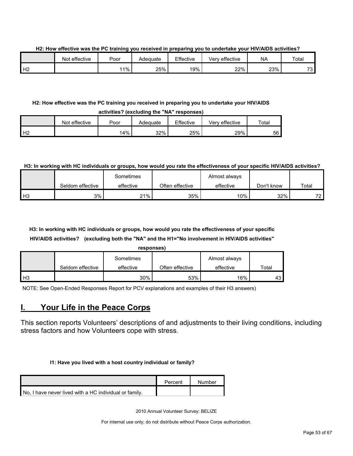**H2: How effective was the PC training you received in preparing you to undertake your HIV/AIDS activities?**

|    | Not effective | Poor | Adeɑuate | Effective | Very effective | <b>NA</b> | Total    |
|----|---------------|------|----------|-----------|----------------|-----------|----------|
| Н2 |               | ່ 1% | 25%      | 19%       | 22%            | 23%       | 72<br>ັບ |

#### **H2: How effective was the PC training you received in preparing you to undertake your HIV/AIDS**

| activities? (excluding the "NA" responses) |               |        |          |           |                |             |  |  |  |
|--------------------------------------------|---------------|--------|----------|-----------|----------------|-------------|--|--|--|
|                                            | Not effective | Poor   | Adeɑuate | Effective | Verv effective | $\tau$ otal |  |  |  |
| H <sub>2</sub>                             |               | $14\%$ | 32%      | 25%       | 29%            | 56          |  |  |  |

#### **H3: In working with HC individuals or groups, how would you rate the effectiveness of your specific HIV/AIDS activities?**

|                |                  | Sometimes |                 | Almost always |            |                |
|----------------|------------------|-----------|-----------------|---------------|------------|----------------|
|                | Seldom effective | effective | Often effective | effective     | Don't know | Total          |
| H <sub>3</sub> | 3%               | 21%       | 35%             | 10%           | 32%        | 72<br><u>_</u> |

### **H3: In working with HC individuals or groups, how would you rate the effectiveness of your specific HIV/AIDS activities? (excluding both the "NA" and the H1="No involvement in HIV/AIDS activities"**

| respons |  |
|---------|--|
|         |  |

|      |                  | Sometimes |                 | Almost always |       |
|------|------------------|-----------|-----------------|---------------|-------|
|      | Seldom effective | effective | Often effective | effective     | ⊤otal |
| l H3 |                  | 30%       | 53%             | 16%           | -43   |

NOTE: See Open-Ended Responses Report for PCV explanations and examples of their H3 answers)

### <span id="page-52-0"></span>**I. Your Life in the Peace Corps**

This section reports Volunteers' descriptions of and adjustments to their living conditions, including stress factors and how Volunteers cope with stress.

#### **I1: Have you lived with a host country individual or family?**

|                                                        | Percent | Number |
|--------------------------------------------------------|---------|--------|
| No. I have never lived with a HC individual or family. |         |        |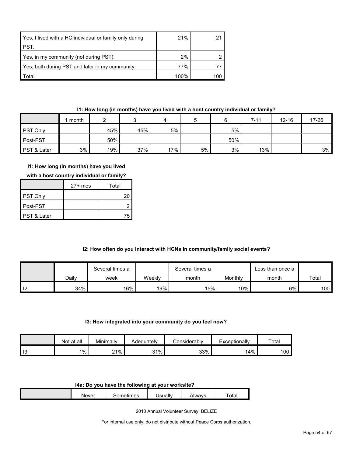| Yes, I lived with a HC individual or family only during | 21%  |     |
|---------------------------------------------------------|------|-----|
| PST.                                                    |      |     |
| Yes, in my community (not during PST).                  | 2%   |     |
| Yes, both during PST and later in my community.         | 77%  |     |
| Total                                                   | 100% | 100 |

#### **I1: How long (in months) have you lived with a host country individual or family?**

|                 | month |     |     | 4   |    |     | $7 - 11$ | $12 - 16$ | 17-26 |
|-----------------|-------|-----|-----|-----|----|-----|----------|-----------|-------|
| <b>PST Only</b> |       | 45% | 45% | 5%  |    | 5%  |          |           |       |
| Post-PST        |       | 50% |     |     |    | 50% |          |           |       |
| PST & Later     | 3%    | 19% | 37% | 17% | 5% | 3%  | 13%      |           | 3%    |

#### **I1: How long (in months) have you lived**

|  | with a host country individual or family? |
|--|-------------------------------------------|
|--|-------------------------------------------|

|                        | $27+$ mos | Total |
|------------------------|-----------|-------|
| <b>PST Only</b>        |           | 20    |
| ∎Post-PST              |           |       |
| <b>PST &amp; Later</b> |           | 75    |

#### **I2: How often do you interact with HCNs in community/family social events?**

|                |       | Several times a |        | Several times a |         | ∟ess than once a |                  |
|----------------|-------|-----------------|--------|-----------------|---------|------------------|------------------|
|                | Daily | week            | Weekly | month           | Monthly | month            | Total            |
| $\blacksquare$ | 34%   | $16\%$          | 19%    | 15%             | 10%     | 6%               | 100 <sub>l</sub> |

#### **I3: How integrated into your community do you feel now?**

|                       | Not at all | Minimally | Adequately | onsiderablyٽ | xceptionally<br>–∧' | Total |
|-----------------------|------------|-----------|------------|--------------|---------------------|-------|
| $\overline{16}$<br>יי | $1\%$      | 21%       | 31%        | 33%          | 14%                 | 100   |

#### **I4a: Do you have the following at your worksite?**

| <b>Never</b> | - ---<br>mes | <b>Jerially</b><br>udll | \lwavs<br><b>ALVV</b> | ota. |
|--------------|--------------|-------------------------|-----------------------|------|

2010 Annual Volunteer Survey: BELIZE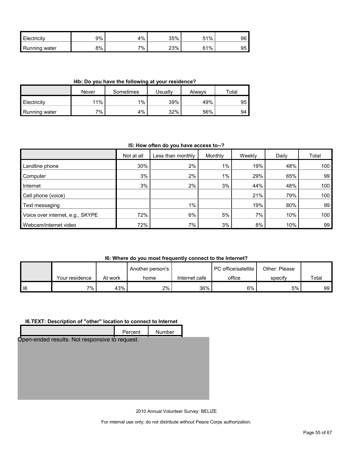| <b>Electricity</b> | 9% | 4% | 35% | 51% | 96 |
|--------------------|----|----|-----|-----|----|
| Running<br>water   | 8% | 7% | 23% | 61% | 95 |

**I4b: Do you have the following at your residence?**

|               | Never | Sometimes | Usuallv | Alwavs | Total |
|---------------|-------|-----------|---------|--------|-------|
| Electricity   | 11%   | 1%        | 39%     | 49%    | 95    |
| Running water | 7%    | 4%        | 32%     | 56%    | 94    |

#### **I5: How often do you have access to--?**

|                                  | Not at all | Less than monthly | Monthly | Weekly | Daily | Total            |
|----------------------------------|------------|-------------------|---------|--------|-------|------------------|
| Landline phone                   | 30%        | 2%                | $1\%$   | 19%    | 48%   | 100              |
| Computer                         | 3%         | 2%                | $1\%$   | 29%    | 65%   | 99               |
| Internet                         | 3%         | 2%                | 3%      | 44%    | 48%   | 100              |
| Cell phone (voice)               |            |                   |         | 21%    | 79%   | 100 <sub>1</sub> |
| Text messaging                   |            | $1\%$             |         | 19%    | 80%   | 99               |
| Voice over internet, e.g., SKYPE | 72%        | 6%                | 5%      | 7%     | 10%   | 100              |
| Webcam/internet video            | 72%        | $7\%$             | 3%      | 8%     | 10%   | 99               |

#### **I6: Where do you most frequently connect to the Internet?**

|    |                |         | Another person's |               | <b>PC</b> office/satellite | Other: Please |       |
|----|----------------|---------|------------------|---------------|----------------------------|---------------|-------|
|    | Your residence | At work | home             | Internet cafe | office                     | specify       | Total |
| 16 | $7\%$ .        | 43%     | 2%               | 36%           | 6%                         | 5%            | 99 I  |

#### **I6.TEXT: Description of "other" location to connect to Internet**

| Percent | Number                                         |  |
|---------|------------------------------------------------|--|
|         |                                                |  |
|         |                                                |  |
|         |                                                |  |
|         |                                                |  |
|         |                                                |  |
|         |                                                |  |
|         | Open-ended results. Not responsive to request. |  |

2010 Annual Volunteer Survey: BELIZE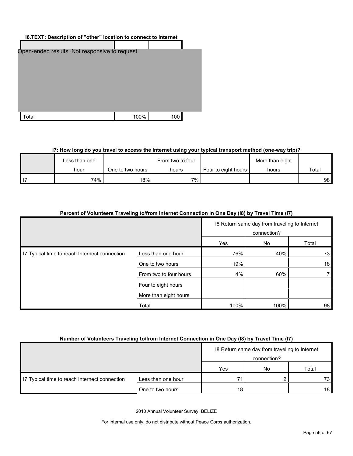| I6. TEXT: Description of "other" location to connect to Internet |      |     |  |  |  |  |
|------------------------------------------------------------------|------|-----|--|--|--|--|
|                                                                  |      |     |  |  |  |  |
| Open-ended results. Not responsive to request.                   |      |     |  |  |  |  |
| `otal                                                            | 100% | 100 |  |  |  |  |

#### **I7: How long do you travel to access the internet using your typical transport method (one-way trip)?**

| Less than one |                  | From two to four |                     | More than eight |                 |
|---------------|------------------|------------------|---------------------|-----------------|-----------------|
| hour          | One to two hours | hours            | Four to eight hours | hours           | Total           |
| 74%           | 18%              | 7%               |                     |                 | 98 <sub>1</sub> |

| Percent of Volunteers Traveling to/from Internet Connection in One Day (18) by Travel Time (17) |                        |                                                              |      |       |
|-------------------------------------------------------------------------------------------------|------------------------|--------------------------------------------------------------|------|-------|
|                                                                                                 |                        | 18 Return same day from traveling to Internet<br>connection? |      |       |
|                                                                                                 |                        | Yes                                                          | No.  | Total |
| 17 Typical time to reach Internect connection                                                   | Less than one hour     | 76%                                                          | 40%  | 73    |
|                                                                                                 | One to two hours       | 19%                                                          |      | 18    |
|                                                                                                 | From two to four hours | 4%                                                           | 60%  |       |
|                                                                                                 | Four to eight hours    |                                                              |      |       |
|                                                                                                 | More than eight hours  |                                                              |      |       |
|                                                                                                 | Total                  | 100%                                                         | 100% | 98    |

#### **Number of Volunteers Traveling to/from Internet Connection in One Day (I8) by Travel Time (I7)**

|                                               |                    |     | 18 Return same day from traveling to Internet |       |
|-----------------------------------------------|--------------------|-----|-----------------------------------------------|-------|
|                                               | connection?        |     |                                               |       |
|                                               |                    | Yes | No                                            | Total |
| I7 Typical time to reach Internect connection | Less than one hour | 71  |                                               | 73.   |
|                                               | One to two hours   | 18  |                                               | 18    |

2010 Annual Volunteer Survey: BELIZE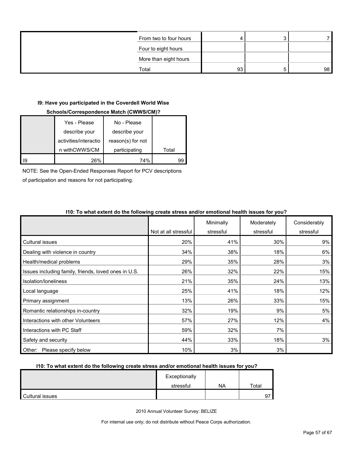| From two to four hours |    |                 |
|------------------------|----|-----------------|
| Four to eight hours    |    |                 |
| More than eight hours  |    |                 |
| Total                  | 93 | 98 <sup>1</sup> |

#### **I9: Have you participated in the Coverdell World Wise**

#### **Schools/Correspondence Match (CWWS/CM)?**

| Yes - Please          | No - Please       |       |
|-----------------------|-------------------|-------|
| describe your         | describe your     |       |
| activities/interactio | reason(s) for not |       |
| n withCWWS/CM         | participating     | Total |
| 26%                   | 74%               | gc    |

NOTE: See the Open-Ended Responses Report for PCV descriptions

of participation and reasons for not participating.

|                                                      |                      | Minimally | Moderately | Considerably |
|------------------------------------------------------|----------------------|-----------|------------|--------------|
|                                                      | Not at all stressful | stressful | stressful  | stressful    |
| Cultural issues                                      | 20%                  | 41%       | 30%        | 9%           |
| Dealing with violence in country                     | 34%                  | 38%       | 18%        | 6%           |
| Health/medical problems                              | 29%                  | 35%       | 28%        | 3%           |
| Issues including family, friends, loved ones in U.S. | 26%                  | 32%       | 22%        | 15%          |
| Isolation/Ioneliness                                 | 21%                  | 35%       | 24%        | 13%          |
| Local language                                       | 25%                  | 41%       | 18%        | 12%          |
| Primary assignment                                   | 13%                  | 26%       | 33%        | 15%          |
| Romantic relationships in-country                    | 32%                  | 19%       | 9%         | 5%           |
| Interactions with other Volunteers                   | 57%                  | 27%       | 12%        | 4%           |
| Interactions with PC Staff                           | 59%                  | 32%       | 7%         |              |
| Safety and security                                  | 44%                  | 33%       | 18%        | 3%           |
| Other: Please specify below                          | 10%                  | 3%        | 3%         |              |

#### **I10: To what extent do the following create stress and/or emotional health issues for you?**

#### **I10: To what extent do the following create stress and/or emotional health issues for you?**

|                 | Exceptionally |           |       |
|-----------------|---------------|-----------|-------|
|                 | stressful     | <b>NA</b> | Total |
| Cultural issues |               |           | 0.    |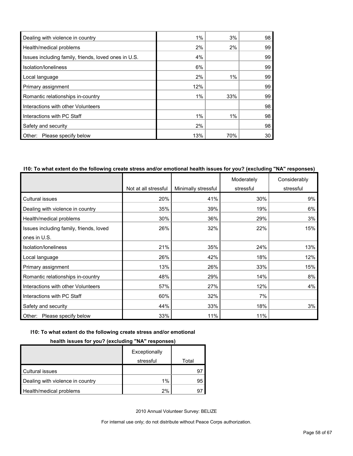| Dealing with violence in country                     | 1%  | 3%  | 98 |
|------------------------------------------------------|-----|-----|----|
| Health/medical problems                              | 2%  | 2%  | 99 |
| Issues including family, friends, loved ones in U.S. | 4%  |     | 99 |
| Isolation/Ioneliness                                 | 6%  |     | 99 |
| Local language                                       | 2%  | 1%  | 99 |
| Primary assignment                                   | 12% |     | 99 |
| Romantic relationships in-country                    | 1%  | 33% | 99 |
| Interactions with other Volunteers                   |     |     | 98 |
| Interactions with PC Staff                           | 1%  | 1%  | 98 |
| Safety and security                                  | 2%  |     | 98 |
| Please specify below<br>Other:                       | 13% | 70% | 30 |

#### **I10: To what extent do the following create stress and/or emotional health issues for you? (excluding "NA" responses)**

|                                         |                      |                     | Moderately | Considerably |
|-----------------------------------------|----------------------|---------------------|------------|--------------|
|                                         | Not at all stressful | Minimally stressful | stressful  | stressful    |
| Cultural issues                         | 20%                  | 41%                 | 30%        | 9%           |
| Dealing with violence in country        | 35%                  | 39%                 | 19%        | 6%           |
| Health/medical problems                 | 30%                  | 36%                 | 29%        | 3%           |
| Issues including family, friends, loved | 26%                  | 32%                 | 22%        | 15%          |
| ones in U.S.                            |                      |                     |            |              |
| Isolation/loneliness                    | 21%                  | 35%                 | 24%        | 13%          |
| Local language                          | 26%                  | 42%                 | 18%        | 12%          |
| Primary assignment                      | 13%                  | 26%                 | 33%        | 15%          |
| Romantic relationships in-country       | 48%                  | 29%                 | 14%        | 8%           |
| Interactions with other Volunteers      | 57%                  | 27%                 | 12%        | 4%           |
| Interactions with PC Staff              | 60%                  | 32%                 | 7%         |              |
| Safety and security                     | 44%                  | 33%                 | 18%        | 3%           |
| Please specify below<br>Other:          | 33%                  | 11%                 | 11%        |              |

#### **I10: To what extent do the following create stress and/or emotional**

#### **health issues for you? (excluding "NA" responses)**

|                                  | Exceptionally |       |
|----------------------------------|---------------|-------|
|                                  | stressful     | Total |
| Cultural issues                  |               | 97    |
| Dealing with violence in country | 1%            | 95    |
| Health/medical problems          | 2%            | 97    |

2010 Annual Volunteer Survey: BELIZE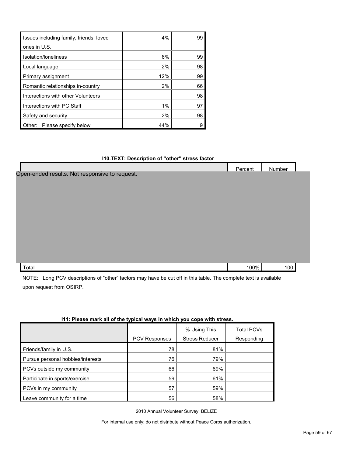| Issues including family, friends, loved | 4%  | 99 |
|-----------------------------------------|-----|----|
| ones in U.S.                            |     |    |
| Isolation/Ioneliness                    | 6%  | 99 |
| Local language                          | 2%  | 98 |
| Primary assignment                      | 12% | 99 |
| Romantic relationships in-country       | 2%  | 66 |
| Interactions with other Volunteers      |     | 98 |
| Interactions with PC Staff              | 1%  | 97 |
| Safety and security                     | 2%  | 98 |
| Other: Please specify below             | 44% |    |

#### **I10.TEXT: Description of "other" stress factor**

|                                                | Percent | Number |  |
|------------------------------------------------|---------|--------|--|
| Open-ended results. Not responsive to request. |         |        |  |
|                                                |         |        |  |
|                                                |         |        |  |
|                                                |         |        |  |
|                                                |         |        |  |
|                                                |         |        |  |
|                                                |         |        |  |
|                                                |         |        |  |
|                                                |         |        |  |
|                                                |         |        |  |
|                                                |         |        |  |
| Total                                          | 100%    | 100    |  |
|                                                |         |        |  |

NOTE: Long PCV descriptions of "other" factors may have be cut off in this table. The complete text is available upon request from OSIRP.

| TEL. PICASC MAIN AN UNITE LYPICAL WAYS IN WHICH YOU COPC WILL STICSS. |                      |                       |                   |  |  |
|-----------------------------------------------------------------------|----------------------|-----------------------|-------------------|--|--|
|                                                                       |                      | % Using This          | <b>Total PCVs</b> |  |  |
|                                                                       | <b>PCV Responses</b> | <b>Stress Reducer</b> | Responding        |  |  |
| Friends/family in U.S.                                                | 78                   | 81%                   |                   |  |  |
| Pursue personal hobbies/interests                                     | 76                   | 79%                   |                   |  |  |
| PCVs outside my community                                             | 66                   | 69%                   |                   |  |  |
| Participate in sports/exercise                                        | 59                   | 61%                   |                   |  |  |
| PCVs in my community                                                  | 57                   | 59%                   |                   |  |  |
| Leave community for a time                                            | 56                   | 58%                   |                   |  |  |

#### **I11: Please mark all of the typical ways in which you cope with stress.**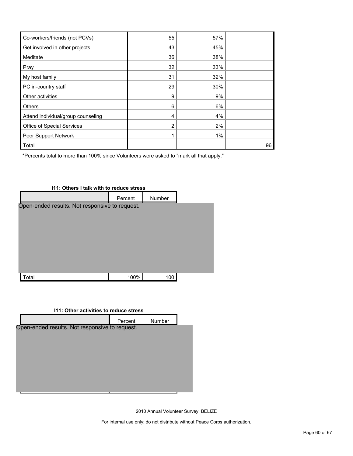| Co-workers/friends (not PCVs)      | 55 | 57% |    |
|------------------------------------|----|-----|----|
| Get involved in other projects     | 43 | 45% |    |
| Meditate                           | 36 | 38% |    |
| Pray                               | 32 | 33% |    |
| My host family                     | 31 | 32% |    |
| PC in-country staff                | 29 | 30% |    |
| Other activities                   | 9  | 9%  |    |
| <b>Others</b>                      | 6  | 6%  |    |
| Attend individual/group counseling | 4  | 4%  |    |
| Office of Special Services         | 2  | 2%  |    |
| Peer Support Network               |    | 1%  |    |
| Total                              |    |     | 96 |

\*Percents total to more than 100% since Volunteers were asked to "mark all that apply."



#### **I11: Other activities to reduce stress**

|                                                | Percent | Number                        |  |  |  |  |
|------------------------------------------------|---------|-------------------------------|--|--|--|--|
| Open-ended results. Not responsive to request. |         |                               |  |  |  |  |
|                                                |         |                               |  |  |  |  |
|                                                |         |                               |  |  |  |  |
|                                                |         |                               |  |  |  |  |
|                                                |         |                               |  |  |  |  |
|                                                |         |                               |  |  |  |  |
|                                                | п       | $\overline{\phantom{a}}$<br>Ξ |  |  |  |  |

2010 Annual Volunteer Survey: BELIZE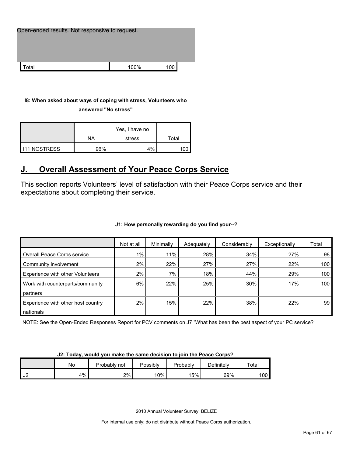| Open-ended results. Not responsive to request. |      |     |  |  |  |
|------------------------------------------------|------|-----|--|--|--|
|                                                |      |     |  |  |  |
| ʻotal                                          | 100% | 100 |  |  |  |

#### **I8: When asked about ways of coping with stress, Volunteers who**

**answered "No stress"** 

|                     | ΝA  | Yes, I have no<br>stress | ™ota⊩             |
|---------------------|-----|--------------------------|-------------------|
| <b>I11.NOSTRESS</b> | 96% | 4%                       | $^{\prime\prime}$ |

## <span id="page-60-0"></span>**J. Overall Assessment of Your Peace Corps Service**

This section reports Volunteers' level of satisfaction with their Peace Corps service and their expectations about completing their service.

#### **J1: How personally rewarding do you find your--?**

|                                    | Not at all | Minimally | Adequately | Considerably | Exceptionally | Total |
|------------------------------------|------------|-----------|------------|--------------|---------------|-------|
| Overall Peace Corps service        | $1\%$      | 11%       | 28%        | 34%          | 27%           | 98    |
| Community involvement              | 2%         | 22%       | 27%        | 27%          | 22%           | 100   |
| Experience with other Volunteers   | 2%         | 7%        | 18%        | 44%          | 29%           | 100   |
| Work with counterparts/community   | 6%         | 22%       | 25%        | 30%          | 17%           | 100   |
| partners                           |            |           |            |              |               |       |
| Experience with other host country | 2%         | 15%       | 22%        | 38%          | 22%           | 99    |
| nationals                          |            |           |            |              |               |       |

NOTE: See the Open-Ended Responses Report for PCV comments on J7 "What has been the best aspect of your PC service?"

| UL. TUGAY, WUGHU YUG HIGHU GILI SAHIG GOGSIUH LU JUHT LIIG I GACG OUI DS : |    |              |          |          |            |       |  |
|----------------------------------------------------------------------------|----|--------------|----------|----------|------------|-------|--|
|                                                                            | No | Probably not | Possiblv | Probably | Definitelv | Total |  |
| l J2                                                                       | 4% | $2\%$        | 10%      | 15%      | 69%        | 100   |  |

**J2: Today, would you make the same decision to join the Peace Corps?**

2010 Annual Volunteer Survey: BELIZE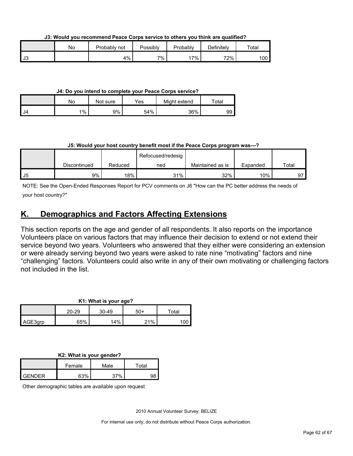**J3: Would you recommend Peace Corps service to others you think are qualified?**

|      | No | Probably not | Possiblv | Probably | Definitely | Total |
|------|----|--------------|----------|----------|------------|-------|
| l J3 |    | 4%           | 7%       | 7%       | 72%        | 100   |

**J4: Do you intend to complete your Peace Corps service?**

|      | No    | Not sure | Yes | Might extend | $\tau$ otal |
|------|-------|----------|-----|--------------|-------------|
| l J4 | $1\%$ | 9%       | 54% | 36%          | 99          |

#### **J5: Would your host country benefit most if the Peace Corps program was---?**

|      |              |         | Refocused/redesig |                  |          |       |
|------|--------------|---------|-------------------|------------------|----------|-------|
|      | Discontinued | Reduced | ned               | Maintained as is | Expanded | Total |
| l J5 | 9%           | 18%     | 31%               | 32%              | 10%      | 97    |

NOTE: See the Open-Ended Responses Report for PCV comments on J6 "How can the PC better address the needs of your host country?"

### <span id="page-61-0"></span>**K. Demographics and Factors Affecting Extensions**

This section reports on the age and gender of all respondents. It also reports on the importance Volunteers place on various factors that may influence their decision to extend or not extend their service beyond two years. Volunteers who answered that they either were considering an extension or were already serving beyond two years were asked to rate nine "motivating" factors and nine "challenging" factors. Volunteers could also write in any of their own motivating or challenging factors not included in the list.

| K1: What is your age? |           |         |       |       |  |  |
|-----------------------|-----------|---------|-------|-------|--|--|
|                       | $20 - 29$ | $30-49$ | $50+$ | ™ota⊩ |  |  |
| AGE3grp               | 65%       | 14%     | 21%   |       |  |  |

| K2: What is your gender? |  |  |
|--------------------------|--|--|
|                          |  |  |

|        | Female | Male | Total |  |
|--------|--------|------|-------|--|
| GENDER | 63%    | 270/ |       |  |

Other demographic tables are available upon request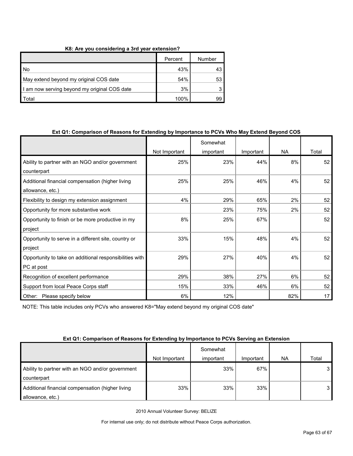#### **K8: Are you considering a 3rd year extension?**

|                                              | Percent | Number |
|----------------------------------------------|---------|--------|
| l No                                         | 43%     | 43     |
| May extend beyond my original COS date       | 54%     | 53     |
| I am now serving beyond my original COS date | 3%      |        |
| <sup>-</sup> otal                            | 100%    |        |

#### **Ext Q1: Comparison of Reasons for Extending by Importance to PCVs Who May Extend Beyond COS**

|                                                         |               | Somewhat  |           |           |       |
|---------------------------------------------------------|---------------|-----------|-----------|-----------|-------|
|                                                         | Not Important | important | Important | <b>NA</b> | Total |
| Ability to partner with an NGO and/or government        | 25%           | 23%       | 44%       | 8%        | 52    |
| counterpart                                             |               |           |           |           |       |
| Additional financial compensation (higher living        | 25%           | 25%       | 46%       | 4%        | 52    |
| allowance, etc.)                                        |               |           |           |           |       |
| Flexibility to design my extension assignment           | 4%            | 29%       | 65%       | 2%        | 52    |
| Opportunity for more substantive work                   |               | 23%       | 75%       | 2%        | 52    |
| Opportunity to finish or be more productive in my       | 8%            | 25%       | 67%       |           | 52    |
| project                                                 |               |           |           |           |       |
| Opportunity to serve in a different site, country or    | 33%           | 15%       | 48%       | 4%        | 52    |
| project                                                 |               |           |           |           |       |
| Opportunity to take on additional responsibilities with | 29%           | 27%       | 40%       | 4%        | 52    |
| PC at post                                              |               |           |           |           |       |
| Recognition of excellent performance                    | 29%           | 38%       | 27%       | 6%        | 52    |
| Support from local Peace Corps staff                    | 15%           | 33%       | 46%       | 6%        | 52    |
| Please specify below<br>Other:                          | 6%            | 12%       |           | 82%       | 17    |

NOTE: This table includes only PCVs who answered K8="May extend beyond my original COS date"

#### **Ext Q1: Comparison of Reasons for Extending by Importance to PCVs Serving an Extension**

|                                                                      | Not Important | Somewhat<br>important | Important | NA. | Total |
|----------------------------------------------------------------------|---------------|-----------------------|-----------|-----|-------|
| Ability to partner with an NGO and/or government<br>counterpart      |               | 33%                   | 67%       |     | 3 I   |
| Additional financial compensation (higher living<br>allowance, etc.) | 33%           | 33%                   | 33%       |     | 3 I   |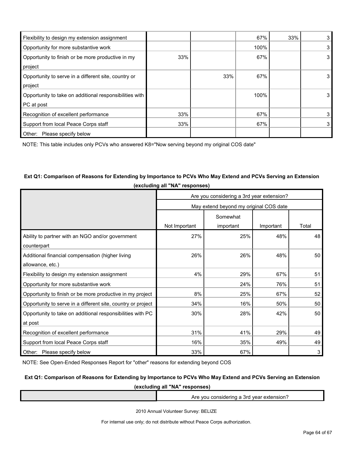| Flexibility to design my extension assignment           |     |     | 67%  | 33% | 3 |
|---------------------------------------------------------|-----|-----|------|-----|---|
| Opportunity for more substantive work                   |     |     | 100% |     | 3 |
| Opportunity to finish or be more productive in my       | 33% |     | 67%  |     | 3 |
| project                                                 |     |     |      |     |   |
| Opportunity to serve in a different site, country or    |     | 33% | 67%  |     | 3 |
| project                                                 |     |     |      |     |   |
| Opportunity to take on additional responsibilities with |     |     | 100% |     | 3 |
| PC at post                                              |     |     |      |     |   |
| Recognition of excellent performance                    | 33% |     | 67%  |     | 3 |
| Support from local Peace Corps staff                    | 33% |     | 67%  |     | 3 |
| Other:<br>Please specify below                          |     |     |      |     |   |

NOTE: This table includes only PCVs who answered K8="Now serving beyond my original COS date"

### **Ext Q1: Comparison of Reasons for Extending by Importance to PCVs Who May Extend and PCVs Serving an Extension (excluding all "NA" responses)**

|                                                              | Are you considering a 3rd year extension? |                                        |           |       |  |  |
|--------------------------------------------------------------|-------------------------------------------|----------------------------------------|-----------|-------|--|--|
|                                                              |                                           | May extend beyond my original COS date |           |       |  |  |
|                                                              |                                           | Somewhat                               |           |       |  |  |
|                                                              | Not Important                             | important                              | Important | Total |  |  |
| Ability to partner with an NGO and/or government             | 27%                                       | 25%                                    | 48%       | 48    |  |  |
| counterpart                                                  |                                           |                                        |           |       |  |  |
| Additional financial compensation (higher living             | 26%                                       | 26%                                    | 48%       | 50    |  |  |
| allowance, etc.)                                             |                                           |                                        |           |       |  |  |
| Flexibility to design my extension assignment                | 4%                                        | 29%                                    | 67%       | 51    |  |  |
| Opportunity for more substantive work                        |                                           | 24%                                    | 76%       | 51    |  |  |
| Opportunity to finish or be more productive in my project    | 8%                                        | 25%                                    | 67%       | 52    |  |  |
| Opportunity to serve in a different site, country or project | 34%                                       | 16%                                    | 50%       | 50    |  |  |
| Opportunity to take on additional responsibilities with PC   | 30%                                       | 28%                                    | 42%       | 50    |  |  |
| at post                                                      |                                           |                                        |           |       |  |  |
| Recognition of excellent performance                         | 31%                                       | 41%                                    | 29%       | 49    |  |  |
| Support from local Peace Corps staff                         | 16%                                       | 35%                                    | 49%       | 49    |  |  |
| Other: Please specify below                                  | 33%                                       | 67%                                    |           | 3     |  |  |

NOTE: See Open-Ended Responses Report for "other" reasons for extending beyond COS

#### **Ext Q1: Comparison of Reasons for Extending by Importance to PCVs Who May Extend and PCVs Serving an Extension**

**(excluding all "NA" responses)**

Are you considering a 3rd year extension?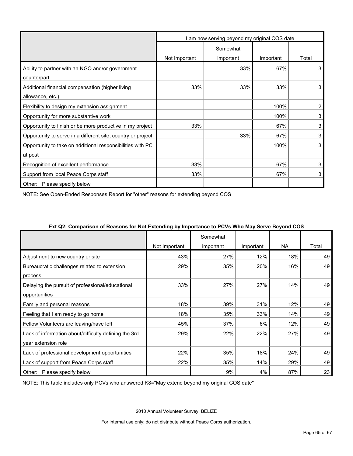|                                                              | am now serving beyond my original COS date |           |           |                |  |
|--------------------------------------------------------------|--------------------------------------------|-----------|-----------|----------------|--|
|                                                              |                                            | Somewhat  |           |                |  |
|                                                              | Not Important                              | important | Important | Total          |  |
| Ability to partner with an NGO and/or government             |                                            | 33%       | 67%       | 3              |  |
| counterpart                                                  |                                            |           |           |                |  |
| Additional financial compensation (higher living             | 33%                                        | 33%       | 33%       | 3              |  |
| allowance, etc.)                                             |                                            |           |           |                |  |
| Flexibility to design my extension assignment                |                                            |           | 100%      | $\overline{c}$ |  |
| Opportunity for more substantive work                        |                                            |           | 100%      | 3              |  |
| Opportunity to finish or be more productive in my project    | 33%                                        |           | 67%       | 3              |  |
| Opportunity to serve in a different site, country or project |                                            | 33%       | 67%       | 3              |  |
| Opportunity to take on additional responsibilities with PC   |                                            |           | 100%      | 3              |  |
| at post                                                      |                                            |           |           |                |  |
| Recognition of excellent performance                         | 33%                                        |           | 67%       | 3              |  |
| Support from local Peace Corps staff                         | 33%                                        |           | 67%       | 3              |  |
| Other: Please specify below                                  |                                            |           |           |                |  |

NOTE: See Open-Ended Responses Report for "other" reasons for extending beyond COS

|                                                       |               | Somewhat  |           |           |       |
|-------------------------------------------------------|---------------|-----------|-----------|-----------|-------|
|                                                       | Not Important | important | Important | <b>NA</b> | Total |
| Adjustment to new country or site                     | 43%           | 27%       | 12%       | 18%       | 49    |
| Bureaucratic challenges related to extension          | 29%           | 35%       | 20%       | 16%       | 49    |
| process                                               |               |           |           |           |       |
| Delaying the pursuit of professional/educational      | 33%           | 27%       | 27%       | 14%       | 49    |
| opportunities                                         |               |           |           |           |       |
| Family and personal reasons                           | 18%           | 39%       | 31%       | 12%       | 49    |
| Feeling that I am ready to go home                    | 18%           | 35%       | 33%       | 14%       | 49    |
| Fellow Volunteers are leaving/have left               | 45%           | 37%       | 6%        | 12%       | 49    |
| Lack of information about/difficulty defining the 3rd | 29%           | 22%       | 22%       | 27%       | 49    |
| year extension role                                   |               |           |           |           |       |
| Lack of professional development opportunities        | 22%           | 35%       | 18%       | 24%       | 49    |
| Lack of support from Peace Corps staff                | 22%           | 35%       | 14%       | 29%       | 49    |
| Please specify below<br>Other:                        |               | 9%        | 4%        | 87%       | 23    |

#### **Ext Q2: Comparison of Reasons for Not Extending by Importance to PCVs Who May Serve Beyond COS**

NOTE: This table includes only PCVs who answered K8="May extend beyond my original COS date"

2010 Annual Volunteer Survey: BELIZE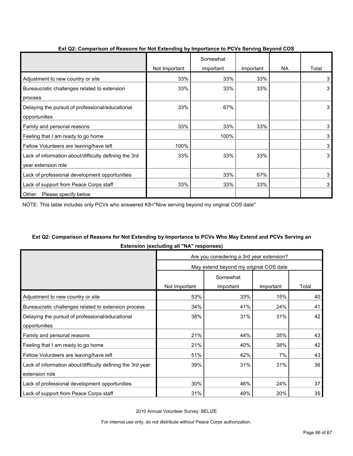| $\frac{1}{2}$ . The companion of reasons for five extensing by importance to f |               | Somewhat  |           |    |       |
|--------------------------------------------------------------------------------|---------------|-----------|-----------|----|-------|
|                                                                                | Not Important | important | Important | NA | Total |
| Adjustment to new country or site                                              | 33%           | 33%       | 33%       |    | 3     |
| Bureaucratic challenges related to extension                                   | 33%           | 33%       | 33%       |    | 3     |
| process                                                                        |               |           |           |    |       |
| Delaying the pursuit of professional/educational                               | 33%           | 67%       |           |    | 3     |
| opportunities                                                                  |               |           |           |    |       |
| Family and personal reasons                                                    | 33%           | 33%       | 33%       |    | 3     |
| Feeling that I am ready to go home                                             |               | 100%      |           |    | 3     |
| Fellow Volunteers are leaving/have left                                        | 100%          |           |           |    | 3     |
| Lack of information about/difficulty defining the 3rd                          | 33%           | 33%       | 33%       |    | 3     |
| year extension role                                                            |               |           |           |    |       |
| Lack of professional development opportunities                                 |               | 33%       | 67%       |    | 3     |
| Lack of support from Peace Corps staff                                         | 33%           | 33%       | 33%       |    | 3     |
| Please specify below<br>Other:                                                 |               |           |           |    |       |

#### **Ext Q2: Comparison of Reasons for Not Extending by Importance to PCVs Serving Beyond COS**

NOTE: This table includes only PCVs who answered K8="Now serving beyond my original COS date"

### **Ext Q2: Comparison of Reasons for Not Extending by Importance to PCVs Who May Extend and PCVs Serving an Extension (excluding all "NA" responses)**

|                                                            | Are you considering a 3rd year extension? |                                        |           |       |  |
|------------------------------------------------------------|-------------------------------------------|----------------------------------------|-----------|-------|--|
|                                                            |                                           | May extend beyond my original COS date |           |       |  |
|                                                            |                                           | Somewhat                               |           |       |  |
|                                                            | Not Important                             | important                              | Important | Total |  |
| Adjustment to new country or site                          | 53%                                       | 33%                                    | 15%       | 40    |  |
| Bureaucratic challenges related to extension process       | 34%                                       | 41%                                    | 24%       | 41    |  |
| Delaying the pursuit of professional/educational           | 38%                                       | 31%                                    | 31%       | 42    |  |
| opportunities                                              |                                           |                                        |           |       |  |
| Family and personal reasons                                | 21%                                       | 44%                                    | 35%       | 43    |  |
| Feeling that I am ready to go home                         | 21%                                       | 40%                                    | 38%       | 42    |  |
| Fellow Volunteers are leaving/have left                    | 51%                                       | 42%                                    | 7%        | 43    |  |
| Lack of information about/difficulty defining the 3rd year | 39%                                       | 31%                                    | 31%       | 36    |  |
| extension role                                             |                                           |                                        |           |       |  |
| Lack of professional development opportunities             | 30%                                       | 46%                                    | 24%       | 37    |  |
| Lack of support from Peace Corps staff                     | 31%                                       | 49%                                    | 20%       | 35    |  |

2010 Annual Volunteer Survey: BELIZE